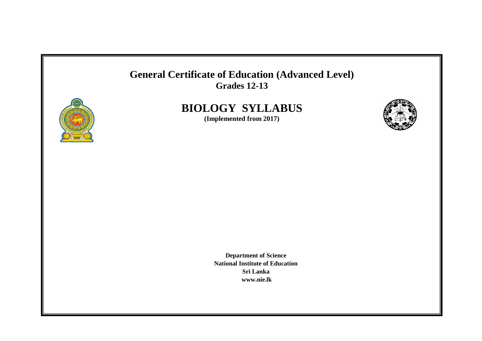



# **BIOLOGY SYLLABUS**

**(Implemented from 2017)**



**Department of Science National Institute of Education Sri Lanka [www.nie.lk](http://www.nie.lk/)**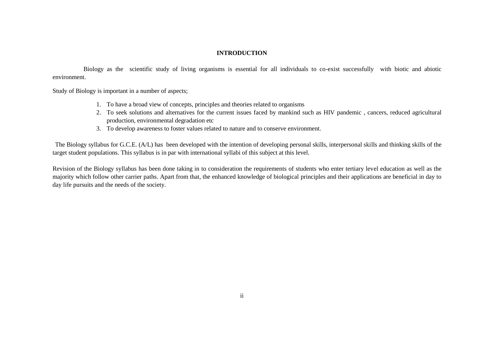## **INTRODUCTION**

Biology as the scientific study of living organisms is essential for all individuals to co-exist successfully with biotic and abiotic environment.

Study of Biology is important in a number of aspects;

- 1. To have a broad view of concepts, principles and theories related to organisms
- 2. To seek solutions and alternatives for the current issues faced by mankind such as HIV pandemic , cancers, reduced agricultural production, environmental degradation etc
- 3. To develop awareness to foster values related to nature and to conserve environment.

The Biology syllabus for G.C.E. (A/L) has been developed with the intention of developing personal skills, interpersonal skills and thinking skills of the target student populations. This syllabus is in par with international syllabi of this subject at this level.

Revision of the Biology syllabus has been done taking in to consideration the requirements of students who enter tertiary level education as well as the majority which follow other carrier paths. Apart from that, the enhanced knowledge of biological principles and their applications are beneficial in day to day life pursuits and the needs of the society.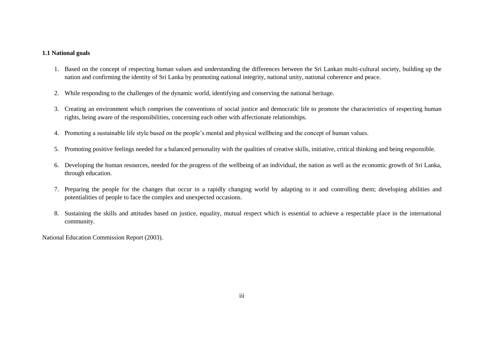## **1.1 National goals**

- 1. Based on the concept of respecting human values and understanding the differences between the Sri Lankan multi-cultural society, building up the nation and confirming the identity of Sri Lanka by promoting national integrity, national unity, national coherence and peace.
- 2. While responding to the challenges of the dynamic world, identifying and conserving the national heritage.
- 3. Creating an environment which comprises the conventions of social justice and democratic life to promote the characteristics of respecting human rights, being aware of the responsibilities, concerning each other with affectionate relationships.
- 4. Promoting a sustainable life style based on the people's mental and physical wellbeing and the concept of human values.
- 5. Promoting positive feelings needed for a balanced personality with the qualities of creative skills, initiative, critical thinking and being responsible.
- 6. Developing the human resources, needed for the progress of the wellbeing of an individual, the nation as well as the economic growth of Sri Lanka, through education.
- 7. Preparing the people for the changes that occur in a rapidly changing world by adapting to it and controlling them; developing abilities and potentialities of people to face the complex and unexpected occasions.
- 8. Sustaining the skills and attitudes based on justice, equality, mutual respect which is essential to achieve a respectable place in the international community.

National Education Commission Report (2003).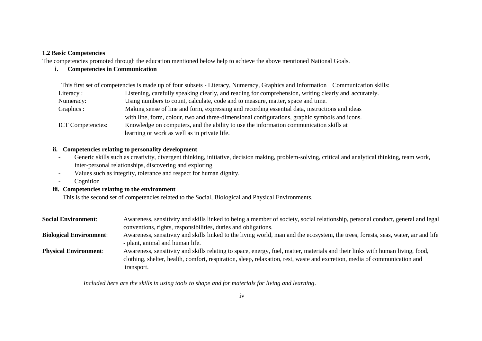### **1.2 Basic Competencies**

The competencies promoted through the education mentioned below help to achieve the above mentioned National Goals.

## **i. Competencies in Communication**

 This first set of competencies is made up of four subsets - Literacy, Numeracy, Graphics and Information Communication skills: Literacy : Listening, carefully speaking clearly, and reading for comprehension, writing clearly and accurately. Numeracy: Using numbers to count, calculate, code and to measure, matter, space and time. Graphics : Making sense of line and form, expressing and recording essential data, instructions and ideas with line, form, colour, two and three-dimensional configurations, graphic symbols and icons. ICT Competencies: Knowledge on computers, and the ability to use the information communication skills at learning or work as well as in private life.

### **ii. Competencies relating to personality development**

- Generic skills such as creativity, divergent thinking, initiative, decision making, problem-solving, critical and analytical thinking, team work, inter-personal relationships, discovering and exploring
- Values such as integrity, tolerance and respect for human dignity.
- Cognition

## **iii. Competencies relating to the environment**

This is the second set of competencies related to the Social, Biological and Physical Environments.

| <b>Social Environment:</b>     | Awareness, sensitivity and skills linked to being a member of society, social relationship, personal conduct, general and legal    |  |  |  |
|--------------------------------|------------------------------------------------------------------------------------------------------------------------------------|--|--|--|
|                                | conventions, rights, responsibilities, duties and obligations.                                                                     |  |  |  |
| <b>Biological Environment:</b> | Awareness, sensitivity and skills linked to the living world, man and the ecosystem, the trees, forests, seas, water, air and life |  |  |  |
|                                | - plant, animal and human life.                                                                                                    |  |  |  |
| <b>Physical Environment:</b>   | Awareness, sensitivity and skills relating to space, energy, fuel, matter, materials and their links with human living, food,      |  |  |  |
|                                | clothing, shelter, health, comfort, respiration, sleep, relaxation, rest, waste and excretion, media of communication and          |  |  |  |
|                                | transport.                                                                                                                         |  |  |  |

*Included here are the skills in using tools to shape and for materials for living and learning*.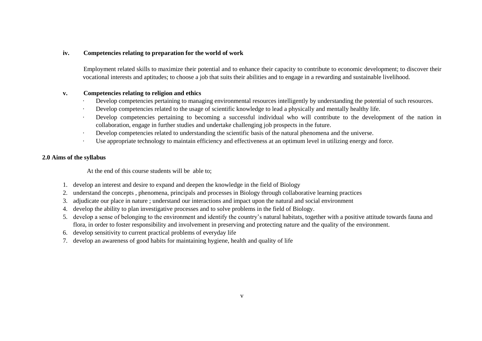## **iv. Competencies relating to preparation for the world of work**

Employment related skills to maximize their potential and to enhance their capacity to contribute to economic development; to discover their vocational interests and aptitudes; to choose a job that suits their abilities and to engage in a rewarding and sustainable livelihood.

#### **v. Competencies relating to religion and ethics**

- Develop competencies pertaining to managing environmental resources intelligently by understanding the potential of such resources.
- · Develop competencies related to the usage of scientific knowledge to lead a physically and mentally healthy life.
- Develop competencies pertaining to becoming a successful individual who will contribute to the development of the nation in collaboration, engage in further studies and undertake challenging job prospects in the future.
- Develop competencies related to understanding the scientific basis of the natural phenomena and the universe.
- Use appropriate technology to maintain efficiency and effectiveness at an optimum level in utilizing energy and force.

## **2.0 Aims of the syllabus**

At the end of this course students will be able to;

- 1. develop an interest and desire to expand and deepen the knowledge in the field of Biology
- 2. understand the concepts , phenomena, principals and processes in Biology through collaborative learning practices
- 3. adjudicate our place in nature ; understand our interactions and impact upon the natural and social environment
- 4. develop the ability to plan investigative processes and to solve problems in the field of Biology.
- 5. develop a sense of belonging to the environment and identify the country's natural habitats, together with a positive attitude towards fauna and flora, in order to foster responsibility and involvement in preserving and protecting nature and the quality of the environment.
- 6. develop sensitivity to current practical problems of everyday life
- 7. develop an awareness of good habits for maintaining hygiene, health and quality of life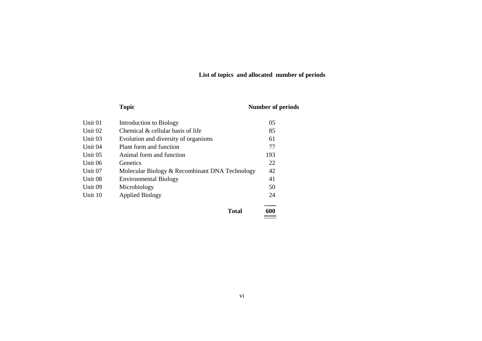## **List of topics and allocated number of periods**

| <b>Topic</b> | <b>Number of periods</b> |
|--------------|--------------------------|
|              |                          |

| Unit 01 | Introduction to Biology                        | 05  |
|---------|------------------------------------------------|-----|
| Unit 02 | Chemical & cellular basis of life              | 85  |
| Unit 03 | Evolution and diversity of organisms           | 61  |
| Unit 04 | Plant form and function                        | 77  |
| Unit 05 | Animal form and function                       | 193 |
| Unit 06 | <b>Genetics</b>                                | 22  |
| Unit 07 | Molecular Biology & Recombinant DNA Technology | 42  |
| Unit 08 | <b>Environmental Biology</b>                   | 41  |
| Unit 09 | Microbiology                                   | 50  |
| Unit 10 | <b>Applied Biology</b>                         | 24  |
|         |                                                |     |

 $Total \frac{600}{200}$ 

vi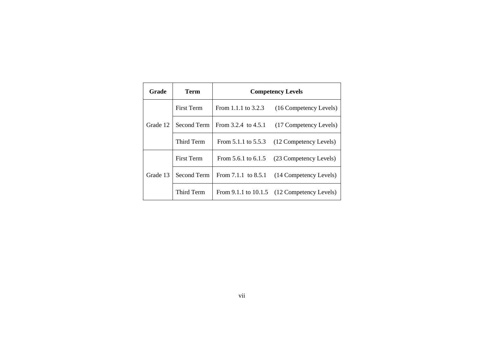| Grade    | <b>Term</b>       | <b>Competency Levels</b> |                                                 |
|----------|-------------------|--------------------------|-------------------------------------------------|
| Grade 12 | <b>First Term</b> | From 1.1.1 to $3.2.3$    | (16 Competency Levels)                          |
|          | Second Term       | From $3.2.4$ to $4.5.1$  | (17 Competency Levels)                          |
|          | Third Term        | From $5.1.1$ to $5.5.3$  | (12 Competency Levels)                          |
| Grade 13 | <b>First Term</b> | From $5.6.1$ to $6.1.5$  | (23 Competency Levels)                          |
|          | Second Term       |                          | From 7.1.1 to 8.5.1 (14 Competency Levels)      |
|          | Third Term        |                          | From $9.1.1$ to $10.1.5$ (12 Competency Levels) |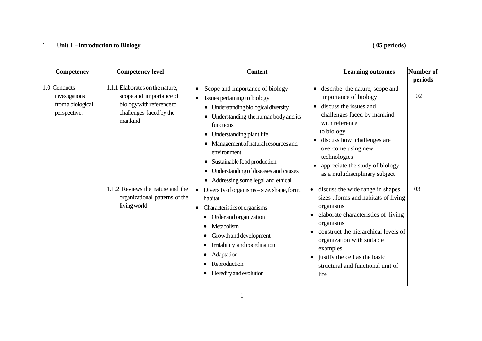## **` Unit 1 –Introduction to Biology ( 05 periods)**

| Competency                                                          | <b>Competency level</b>                                                                                                                                                                                             | <b>Content</b>                                                                                                                                                                                                                                                                                                                                                                                                                                                                                                                                                       | <b>Learning outcomes</b>                                                                                                                                                                                                                                                                                                                                                                                                                                                                                                                 | <b>Number of</b><br>periods |
|---------------------------------------------------------------------|---------------------------------------------------------------------------------------------------------------------------------------------------------------------------------------------------------------------|----------------------------------------------------------------------------------------------------------------------------------------------------------------------------------------------------------------------------------------------------------------------------------------------------------------------------------------------------------------------------------------------------------------------------------------------------------------------------------------------------------------------------------------------------------------------|------------------------------------------------------------------------------------------------------------------------------------------------------------------------------------------------------------------------------------------------------------------------------------------------------------------------------------------------------------------------------------------------------------------------------------------------------------------------------------------------------------------------------------------|-----------------------------|
| 1.0 Conducts<br>investigations<br>from a biological<br>perspective. | 1.1.1 Elaborates on the nature,<br>scope and importance of<br>biology with reference to<br>challenges faced by the<br>mankind<br>1.1.2 Reviews the nature and the<br>organizational patterns of the<br>living world | Scope and importance of biology<br>Issues pertaining to biology<br>• Understanding biological diversity<br>• Understanding the human body and its<br>functions<br>• Understanding plant life<br>Management of natural resources and<br>environment<br>Sustainable food production<br>٠<br>• Understanding of diseases and causes<br>• Addressing some legal and ethical<br>Diversity of organisms – size, shape, form,<br>habitat<br>Characteristics of organisms<br>Order and organization<br>Metabolism<br>Growth and development<br>Irritability and coordination | • describe the nature, scope and<br>importance of biology<br>discuss the issues and<br>$\bullet$<br>challenges faced by mankind<br>with reference<br>to biology<br>discuss how challenges are<br>$\bullet$<br>overcome using new<br>technologies<br>appreciate the study of biology<br>as a multidisciplinary subject<br>discuss the wide range in shapes,<br>sizes, forms and habitats of living<br>organisms<br>elaborate characteristics of living<br>organisms<br>construct the hierarchical levels of<br>organization with suitable | 02<br>03                    |
|                                                                     | Adaptation<br>Reproduction<br>Heredity and evolution                                                                                                                                                                | examples<br>justify the cell as the basic<br>structural and functional unit of<br>life                                                                                                                                                                                                                                                                                                                                                                                                                                                                               |                                                                                                                                                                                                                                                                                                                                                                                                                                                                                                                                          |                             |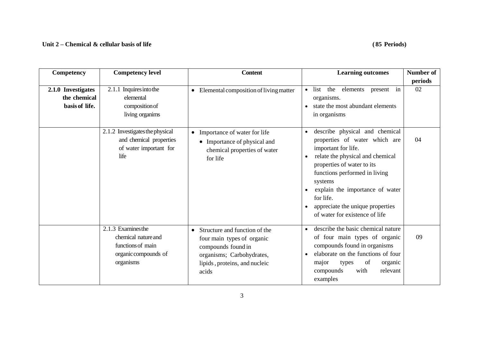## **Unit 2 – Chemical & cellular basis of life ( 85 Periods)**

| Competency                                           | <b>Competency level</b>                                                                             | <b>Content</b>                                                                                                                                                        | <b>Learning outcomes</b>                                                                                                                                                                                                                                                                                                                             | <b>Number of</b> |
|------------------------------------------------------|-----------------------------------------------------------------------------------------------------|-----------------------------------------------------------------------------------------------------------------------------------------------------------------------|------------------------------------------------------------------------------------------------------------------------------------------------------------------------------------------------------------------------------------------------------------------------------------------------------------------------------------------------------|------------------|
|                                                      |                                                                                                     |                                                                                                                                                                       |                                                                                                                                                                                                                                                                                                                                                      | periods          |
| 2.1.0 Investigates<br>the chemical<br>basis of life. | 2.1.1 Inquires into the<br>elemental<br>composition of<br>living organims                           | • Elemental composition of living matter                                                                                                                              | • list the elements present in<br>organisms.<br>state the most abundant elements<br>in organisms                                                                                                                                                                                                                                                     | 02               |
|                                                      | 2.1.2 Investigates the physical<br>and chemical properties<br>of water important for<br>life        | Importance of water for life<br>$\bullet$<br>• Importance of physical and<br>chemical properties of water<br>for life                                                 | describe physical and chemical<br>$\bullet$<br>properties of water which are<br>important for life.<br>relate the physical and chemical<br>$\bullet$<br>properties of water to its<br>functions performed in living<br>systems<br>explain the importance of water<br>for life.<br>appreciate the unique properties<br>of water for existence of life | 04               |
|                                                      | 2.1.3 Examines the<br>chemical nature and<br>functions of main<br>organic compounds of<br>organisms | Structure and function of the<br>$\bullet$<br>four main types of organic<br>compounds found in<br>organisms; Carbohydrates,<br>lipids, proteins, and nucleic<br>acids | describe the basic chemical nature<br>$\bullet$<br>of four main types of organic<br>compounds found in organisms<br>elaborate on the functions of four<br>$\bullet$<br>of<br>organic<br>major<br>types<br>with<br>relevant<br>compounds<br>examples                                                                                                  | 09               |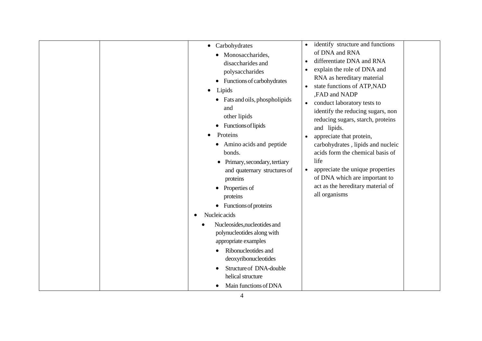| $\bullet$ | Carbohydrates<br>$\bullet$<br>Monosaccharides,<br>disaccharides and<br>polysaccharides<br>• Functions of carbohydrates<br>Lipids<br>$\bullet$<br>• Fats and oils, phospholipids<br>and<br>other lipids<br>Functions of lipids<br>$\bullet$<br>Proteins<br>$\bullet$<br>• Amino acids and peptide<br>bonds.<br>Primary, secondary, tertiary<br>$\bullet$<br>and quaternary structures of<br>proteins<br>Properties of<br>$\bullet$<br>proteins<br>$\bullet$ Functions of proteins<br>Nucleic acids<br>Nucleosides, nucleotides and<br>polynucleotides along with<br>appropriate examples<br>Ribonucleotides and<br>deoxyribonucleotides<br>Structure of DNA-double<br>helical structure<br>Main functions of DNA | identify structure and functions<br>$\bullet$<br>of DNA and RNA<br>differentiate DNA and RNA<br>$\bullet$<br>explain the role of DNA and<br>$\bullet$<br>RNA as hereditary material<br>state functions of ATP, NAD<br>$\bullet$<br>,FAD and NADP<br>conduct laboratory tests to<br>$\bullet$<br>identify the reducing sugars, non<br>reducing sugars, starch, proteins<br>and lipids.<br>appreciate that protein,<br>carbohydrates, lipids and nucleic<br>acids form the chemical basis of<br>life<br>appreciate the unique properties<br>of DNA which are important to<br>act as the hereditary material of<br>all organisms |
|-----------|-----------------------------------------------------------------------------------------------------------------------------------------------------------------------------------------------------------------------------------------------------------------------------------------------------------------------------------------------------------------------------------------------------------------------------------------------------------------------------------------------------------------------------------------------------------------------------------------------------------------------------------------------------------------------------------------------------------------|-------------------------------------------------------------------------------------------------------------------------------------------------------------------------------------------------------------------------------------------------------------------------------------------------------------------------------------------------------------------------------------------------------------------------------------------------------------------------------------------------------------------------------------------------------------------------------------------------------------------------------|
|-----------|-----------------------------------------------------------------------------------------------------------------------------------------------------------------------------------------------------------------------------------------------------------------------------------------------------------------------------------------------------------------------------------------------------------------------------------------------------------------------------------------------------------------------------------------------------------------------------------------------------------------------------------------------------------------------------------------------------------------|-------------------------------------------------------------------------------------------------------------------------------------------------------------------------------------------------------------------------------------------------------------------------------------------------------------------------------------------------------------------------------------------------------------------------------------------------------------------------------------------------------------------------------------------------------------------------------------------------------------------------------|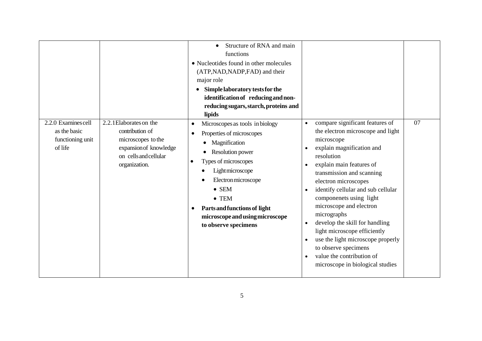| 2.2.0 Examines cell<br>as the basic<br>functioning unit<br>of life | 2.2.1 Elaborates on the<br>contribution of<br>microscopes to the<br>expansion of knowledge<br>on cells and cellular<br>organization. | Structure of RNA and main<br>functions<br>• Nucleotides found in other molecules<br>(ATP, NAD, NADP, FAD) and their<br>major role<br>Simple laboratory tests for the<br>$\bullet$<br>identification of reducing and non-<br>reducing sugars, starch, proteins and<br>lipids<br>Microscopes as tools in biology<br>$\bullet$<br>Properties of microscopes<br>$\bullet$<br>Magnification<br><b>Resolution power</b><br>Types of microscopes<br>$\bullet$<br>Lightmicroscope<br>Electron microscope<br>$\bullet$ SEM<br>$\bullet$ TEM<br>Parts and functions of light<br>$\bullet$<br>microscope and using microscope<br>to observe specimens | compare significant features of<br>$\bullet$<br>the electron microscope and light<br>microscope<br>explain magnification and<br>resolution<br>explain main features of<br>$\bullet$<br>transmission and scanning<br>electron microscopes<br>identify cellular and sub cellular<br>componenets using light<br>microscope and electron<br>micrographs<br>develop the skill for handling<br>$\bullet$<br>light microscope efficiently<br>use the light microscope properly<br>to observe specimens<br>value the contribution of<br>$\bullet$<br>microscope in biological studies | 07 |
|--------------------------------------------------------------------|--------------------------------------------------------------------------------------------------------------------------------------|--------------------------------------------------------------------------------------------------------------------------------------------------------------------------------------------------------------------------------------------------------------------------------------------------------------------------------------------------------------------------------------------------------------------------------------------------------------------------------------------------------------------------------------------------------------------------------------------------------------------------------------------|-------------------------------------------------------------------------------------------------------------------------------------------------------------------------------------------------------------------------------------------------------------------------------------------------------------------------------------------------------------------------------------------------------------------------------------------------------------------------------------------------------------------------------------------------------------------------------|----|
|--------------------------------------------------------------------|--------------------------------------------------------------------------------------------------------------------------------------|--------------------------------------------------------------------------------------------------------------------------------------------------------------------------------------------------------------------------------------------------------------------------------------------------------------------------------------------------------------------------------------------------------------------------------------------------------------------------------------------------------------------------------------------------------------------------------------------------------------------------------------------|-------------------------------------------------------------------------------------------------------------------------------------------------------------------------------------------------------------------------------------------------------------------------------------------------------------------------------------------------------------------------------------------------------------------------------------------------------------------------------------------------------------------------------------------------------------------------------|----|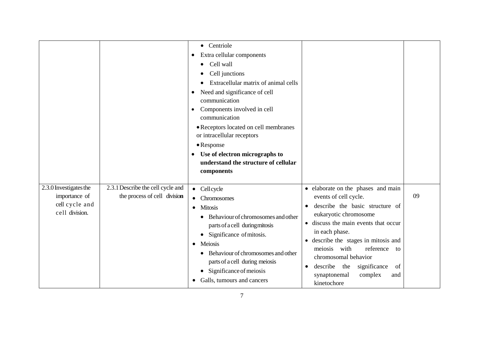|                                                                             |                                                                   | • Centriole<br>Extra cellular components<br>٠<br>Cell wall<br>$\bullet$<br>Cell junctions<br>Extracellular matrix of animal cells<br>Need and significance of cell<br>٠<br>communication<br>Components involved in cell<br>$\bullet$<br>communication<br>• Receptors located on cell membranes<br>or intracellular receptors<br>• Response<br>Use of electron micrographs to<br>understand the structure of cellular<br>components |                                                                                                                                                                                                                                                                                                                                                                              |    |
|-----------------------------------------------------------------------------|-------------------------------------------------------------------|------------------------------------------------------------------------------------------------------------------------------------------------------------------------------------------------------------------------------------------------------------------------------------------------------------------------------------------------------------------------------------------------------------------------------------|------------------------------------------------------------------------------------------------------------------------------------------------------------------------------------------------------------------------------------------------------------------------------------------------------------------------------------------------------------------------------|----|
| 2.3.0 Investigates the<br>importance of<br>cell cycle and<br>cell division. | 2.3.1 Describe the cell cycle and<br>the process of cell division | • Cellcycle<br>Chromosomes<br>$\bullet$<br><b>Mitosis</b><br>$\bullet$<br>Behaviour of chromosomes and other<br>parts of a cell during mitosis<br>Significance of mitosis.<br>$\bullet$<br>Meiosis<br>$\bullet$<br>Behaviour of chromosomes and other<br>parts of a cell during meiosis<br>Significance of meiosis<br>$\bullet$<br>Galls, tumours and cancers                                                                      | • elaborate on the phases and main<br>events of cell cycle.<br>describe the basic structure of<br>eukaryotic chromosome<br>discuss the main events that occur<br>in each phase.<br>• describe the stages in mitosis and<br>meiosis with<br>reference<br>to<br>chromosomal behavior<br>describe<br>the<br>significance<br>of<br>synaptonemal<br>complex<br>and<br>kinetochore | 09 |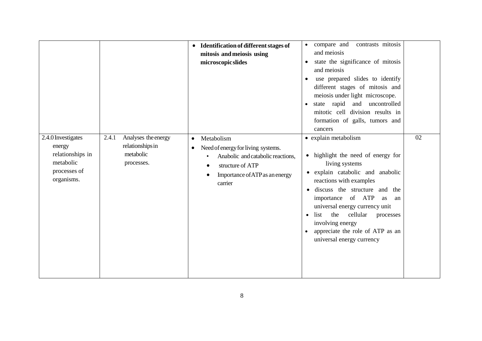|                                                                                             |                                                                             | • Identification of different stages of<br>mitosis and meiosis using<br>microscopic slides                                                                                                                 | contrasts mitosis<br>compare and<br>and meiosis<br>state the significance of mitosis<br>and meiosis<br>use prepared slides to identify<br>different stages of mitosis and<br>meiosis under light microscope.<br>state rapid<br>and uncontrolled<br>$\bullet$<br>mitotic cell division results in<br>formation of galls, tumors and<br>cancers                                                                   |    |
|---------------------------------------------------------------------------------------------|-----------------------------------------------------------------------------|------------------------------------------------------------------------------------------------------------------------------------------------------------------------------------------------------------|-----------------------------------------------------------------------------------------------------------------------------------------------------------------------------------------------------------------------------------------------------------------------------------------------------------------------------------------------------------------------------------------------------------------|----|
| 2.4.0 Investigates<br>energy<br>relationships in<br>metabolic<br>processes of<br>organisms. | Analyses the energy<br>2.4.1<br>relationships in<br>metabolic<br>processes. | Metabolism<br>$\bullet$<br>Need of energy for living systems.<br>$\bullet$<br>Anabolic and catabolic reactions,<br>$\bullet$<br>structure of ATP<br>Importance of ATP as an energy<br>$\bullet$<br>carrier | • explain metabolism<br>highlight the need of energy for<br>$\bullet$<br>living systems<br>explain catabolic and anabolic<br>$\bullet$<br>reactions with examples<br>discuss the structure and the<br>importance of ATP<br>as<br>an<br>universal energy currency unit<br>the<br>cellular<br>list<br>processes<br>$\bullet$<br>involving energy<br>appreciate the role of ATP as an<br>universal energy currency | 02 |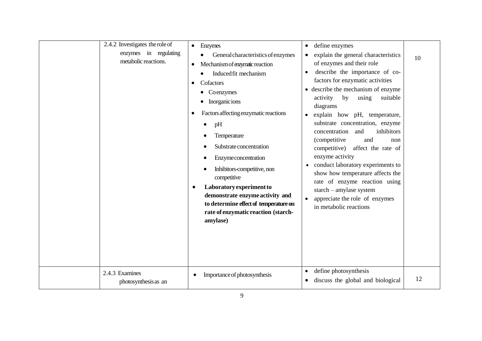| 2.4.2 Investigates the role of<br>enzymes in regulating<br>metabolic reactions. | $\bullet$ Enzymes<br>General characteristics of enzymes<br>Mechanism of enzymatic reaction<br>$\bullet$<br>Induced fit mechanism<br>Cofactors<br>Coenzymes<br>Inorganicions<br>Factors affecting enzymatic reactions<br>٠<br>pH<br>Temperature<br>Substrate concentration<br><b>Enzyme</b> concentration<br>Inhibitors-competitive, non<br>competitive<br>Laboratory experiment to<br>demonstrate enzyme activity and<br>to determine effect of temperature on<br>rate of enzymatic reaction (starch-<br>amylase) | define enzymes<br>$\bullet$<br>explain the general characteristics<br>of enzymes and their role<br>describe the importance of co-<br>factors for enzymatic activities<br>• describe the mechanism of enzyme<br>activity<br>by<br>using<br>suitable<br>diagrams<br>• explain how pH, temperature,<br>substrate concentration, enzyme<br>inhibitors<br>concentration<br>and<br>(competitive<br>and<br>non<br>competitive)<br>affect the rate of<br>enzyme activity<br>conduct laboratory experiments to<br>show how temperature affects the<br>rate of enzyme reaction using<br>starch - amylase system<br>appreciate the role of enzymes<br>$\bullet$<br>in metabolic reactions | 10 |
|---------------------------------------------------------------------------------|-------------------------------------------------------------------------------------------------------------------------------------------------------------------------------------------------------------------------------------------------------------------------------------------------------------------------------------------------------------------------------------------------------------------------------------------------------------------------------------------------------------------|--------------------------------------------------------------------------------------------------------------------------------------------------------------------------------------------------------------------------------------------------------------------------------------------------------------------------------------------------------------------------------------------------------------------------------------------------------------------------------------------------------------------------------------------------------------------------------------------------------------------------------------------------------------------------------|----|
| 2.4.3 Examines<br>photosynthesis as an                                          | Importance of photosynthesis                                                                                                                                                                                                                                                                                                                                                                                                                                                                                      | define photosynthesis<br>$\bullet$<br>discuss the global and biological<br>$\bullet$                                                                                                                                                                                                                                                                                                                                                                                                                                                                                                                                                                                           | 12 |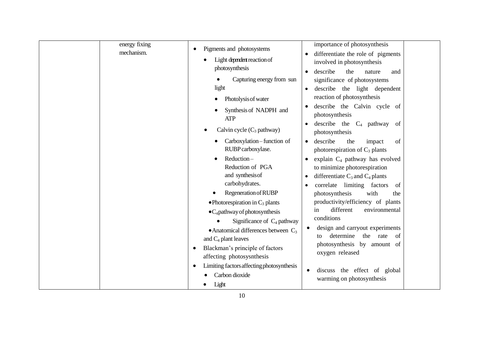| energy fixing<br>mechanism. | Pigments and photosystems<br>Light dependent reaction of<br>photosynthesis<br>Capturing energy from sun<br>light<br>Photolysis of water<br>Synthesis of NADPH and<br><b>ATP</b><br>Calvin cycle $(C_3$ pathway)<br>Carboxylation-function of<br>RUBP carboxylase.<br>Reduction-<br>$\bullet$<br>Reduction of PGA<br>and synthesis of<br>carbohydrates.<br>Regeneration of RUBP<br>• Photorespiration in $C_3$ plants<br>$\bullet$ C <sub>4</sub> pathway of photosynthesis<br>Significance of $C_4$ pathway<br>• Anatomical differences between $C_3$<br>and $C_4$ plant leaves<br>Blackman's principle of factors<br>affecting photosysnthesis<br>Limiting factors affecting photosynthesis<br>Carbon dioxide<br>Light | importance of photosynthesis<br>differentiate the role of pigments<br>involved in photosynthesis<br>describe<br>the<br>nature<br>and<br>significance of photosystems<br>describe the light dependent<br>reaction of photosynthesis<br>describe the Calvin cycle of<br>photosynthesis<br>describe the $C_4$ pathway<br>of<br>photosynthesis<br>describe<br>the<br>of<br>impact<br>$\bullet$<br>photorespiration of $C_3$ plants<br>explain C <sub>4</sub> pathway has evolved<br>to minimize photorespiration<br>differentiate $C_3$ and $C_4$ plants<br>$\bullet$<br>correlate limiting factors<br>of<br>with<br>photosynthesis<br>the<br>productivity/efficiency of plants<br>different<br>environmental<br>in<br>conditions<br>design and carryout experiments<br>determine<br>the<br>rate<br>of<br>to<br>photosynthesis by amount of<br>oxygen released<br>discuss the effect of global<br>$\bullet$<br>warming on photosynthesis |  |
|-----------------------------|-------------------------------------------------------------------------------------------------------------------------------------------------------------------------------------------------------------------------------------------------------------------------------------------------------------------------------------------------------------------------------------------------------------------------------------------------------------------------------------------------------------------------------------------------------------------------------------------------------------------------------------------------------------------------------------------------------------------------|--------------------------------------------------------------------------------------------------------------------------------------------------------------------------------------------------------------------------------------------------------------------------------------------------------------------------------------------------------------------------------------------------------------------------------------------------------------------------------------------------------------------------------------------------------------------------------------------------------------------------------------------------------------------------------------------------------------------------------------------------------------------------------------------------------------------------------------------------------------------------------------------------------------------------------------|--|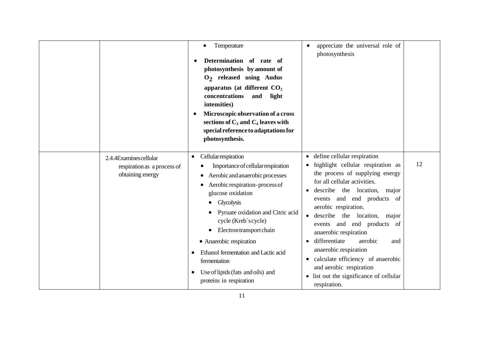|                                                                           | Temperature<br>Determination of rate of<br>photosynthesis by amount of<br>$O2$ released using Audus<br>apparatus (at different $CO2$<br>concentrations<br>and<br>light<br>intensities)<br>Microscopic observation of a cross<br>sections of $C_3$ and $C_4$ leaves with<br>special reference to adaptations for<br>photosynthesis.                                                                                                                   | appreciate the universal role of<br>photosynthesis                                                                                                                                                                                                                                                                                                                                                                                                                                                                |    |
|---------------------------------------------------------------------------|------------------------------------------------------------------------------------------------------------------------------------------------------------------------------------------------------------------------------------------------------------------------------------------------------------------------------------------------------------------------------------------------------------------------------------------------------|-------------------------------------------------------------------------------------------------------------------------------------------------------------------------------------------------------------------------------------------------------------------------------------------------------------------------------------------------------------------------------------------------------------------------------------------------------------------------------------------------------------------|----|
| 2.4.4Examines cellular<br>respiration as a process of<br>obtaining energy | Cellular respiration<br>$\bullet$<br>Importance of cellular respiration<br>Aerobic and anaerobic processes<br>Aerobic respiration-process of<br>glucose oxidation<br>Glycolysis<br>$\bullet$<br>Pyruate oxidation and Citric acid<br>cycle (Kreb`scycle)<br>Electron transport chain<br>• Anaerobic respiration<br>Ethanol fermentation and Lactic acid<br>fermentation<br>Use of lipids (fats and oils) and<br>$\bullet$<br>proteins in respiration | • define cellular respiration<br>highlight cellular respiration as<br>the process of supplying energy<br>for all cellular activities.<br>describe the location,<br>major<br>events and end products of<br>aerobic respiration.<br>describe the location,<br>major<br>events and end products of<br>anaerobic respiration<br>differentiate<br>aerobic<br>and<br>anaerobic respiration<br>• calculate efficiency of anaerobic<br>and aerobic respiration<br>• list out the significance of cellular<br>respiration. | 12 |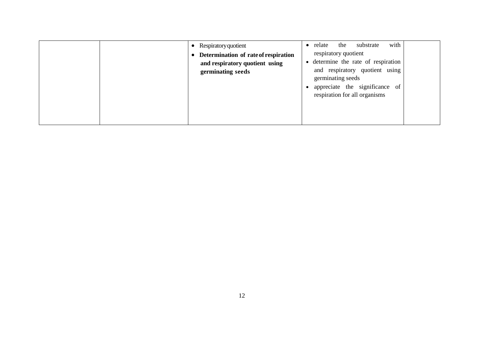| Respiratory quotient<br>Determination of rate of respiration<br>and respiratory quotient using<br>germinating seeds | with<br>the<br>substrate<br>relate<br>$\bullet$<br>respiratory quotient<br>• determine the rate of respiration<br>and respiratory quotient using<br>germinating seeds<br>appreciate the significance of<br>respiration for all organisms |
|---------------------------------------------------------------------------------------------------------------------|------------------------------------------------------------------------------------------------------------------------------------------------------------------------------------------------------------------------------------------|
|---------------------------------------------------------------------------------------------------------------------|------------------------------------------------------------------------------------------------------------------------------------------------------------------------------------------------------------------------------------------|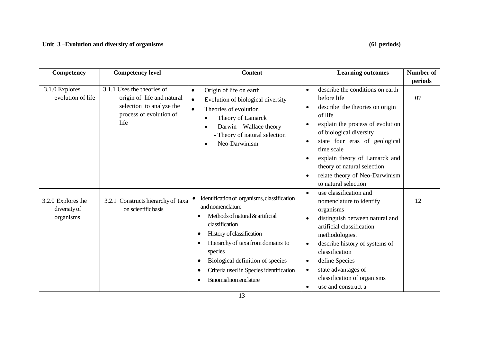## **Unit 3 –Evolution and diversity of organisms (61 periods)**

| Competency                                      | <b>Competency level</b>                                                                                                 | <b>Content</b>                                                                                                                                                                                                                                                                                                   | <b>Learning outcomes</b>                                                                                                                                                                                                                                                                                                                                                                  | <b>Number of</b> |
|-------------------------------------------------|-------------------------------------------------------------------------------------------------------------------------|------------------------------------------------------------------------------------------------------------------------------------------------------------------------------------------------------------------------------------------------------------------------------------------------------------------|-------------------------------------------------------------------------------------------------------------------------------------------------------------------------------------------------------------------------------------------------------------------------------------------------------------------------------------------------------------------------------------------|------------------|
|                                                 |                                                                                                                         |                                                                                                                                                                                                                                                                                                                  |                                                                                                                                                                                                                                                                                                                                                                                           | periods          |
| 3.1.0 Explores<br>evolution of life             | 3.1.1 Uses the theories of<br>origin of life and natural<br>selection to analyze the<br>process of evolution of<br>life | Origin of life on earth<br>$\bullet$<br>Evolution of biological diversity<br>$\bullet$<br>Theories of evolution<br>$\bullet$<br>Theory of Lamarck<br>Darwin - Wallace theory<br>- Theory of natural selection<br>Neo-Darwinism                                                                                   | describe the conditions on earth<br>$\bullet$<br>before life<br>describe the theories on origin<br>$\bullet$<br>of life<br>explain the process of evolution<br>$\bullet$<br>of biological diversity<br>state four eras of geological<br>$\bullet$<br>time scale<br>explain theory of Lamarck and<br>theory of natural selection<br>relate theory of Neo-Darwinism<br>to natural selection | 07               |
| 3.2.0 Explores the<br>diversity of<br>organisms | 3.2.1 Constructs hierarchy of taxa<br>on scientific basis                                                               | Identification of organisms, classification<br>and nomenclature<br>Methods of natural & artificial<br>classification<br>History of classification<br>Hierarchy of taxa from domains to<br>species<br>Biological definition of species<br>Criteria used in Species identification<br><b>Binomial nomenclature</b> | use classification and<br>$\bullet$<br>nomenclature to identify<br>organisms<br>distinguish between natural and<br>$\bullet$<br>artificial classification<br>methodologies.<br>describe history of systems of<br>$\bullet$<br>classification<br>define Species<br>$\bullet$<br>state advantages of<br>$\bullet$<br>classification of organisms<br>use and construct a<br>$\bullet$        | 12               |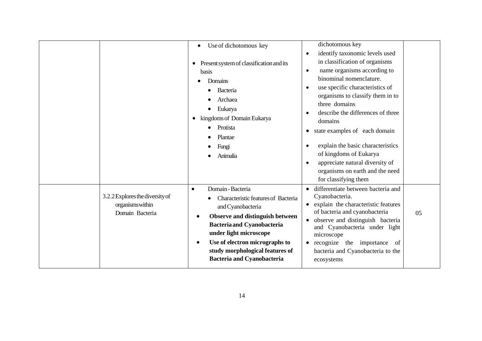|                                                                        | Use of dichotomous key<br>$\bullet$<br>Present system of classification and its<br>basis<br>Domains<br>Bacteria<br>Archaea<br>Eukarya<br>kingdoms of Domain Eukarya<br>$\bullet$<br>Protista<br>Plantae<br>Fungi<br>Animalia                                                                                                     | dichotomous key<br>identify taxonomic levels used<br>$\bullet$<br>in classification of organisms<br>name organisms according to<br>$\bullet$<br>binominal nomenclature.<br>use specific characteristics of<br>organisms to classify them in to<br>three domains<br>describe the differences of three<br>domains<br>state examples of each domain<br>explain the basic characteristics<br>of kingdoms of Eukarya<br>appreciate natural diversity of<br>$\bullet$<br>organisms on earth and the need<br>for classifying them |
|------------------------------------------------------------------------|----------------------------------------------------------------------------------------------------------------------------------------------------------------------------------------------------------------------------------------------------------------------------------------------------------------------------------|----------------------------------------------------------------------------------------------------------------------------------------------------------------------------------------------------------------------------------------------------------------------------------------------------------------------------------------------------------------------------------------------------------------------------------------------------------------------------------------------------------------------------|
| 3.2.2 Explores the diversity of<br>organisms within<br>Domain Bacteria | Domain - Bacteria<br>$\bullet$<br>Characteristic features of Bacteria<br>and Cyanobacteria<br>Observe and distinguish between<br>$\bullet$<br><b>Bacteria and Cyanobacteria</b><br>under light microscope<br>Use of electron micrographs to<br>$\bullet$<br>study morphological features of<br><b>Bacteria and Cyanobacteria</b> | differentiate between bacteria and<br>Cyanobacteria.<br>explain the characteristic features<br>of bacteria and cyanobacteria<br>05<br>observe and distinguish bacteria<br>and Cyanobacteria under light<br>microscope<br>recognize the importance<br>of<br>bacteria and Cyanobacteria to the<br>ecosystems                                                                                                                                                                                                                 |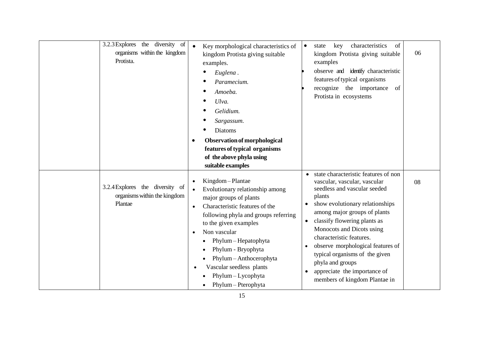| the diversity of<br>3.2.3 Explores<br>organisms within the kingdom<br>Protista. | Key morphological characteristics of<br>kingdom Protista giving suitable<br>examples.<br>Euglena.<br>Paramecium.<br>Amoeba.<br>Ulva.<br>Gelidium.<br>Sargassum.<br><b>Diatoms</b><br>Observation of morphological<br>٠<br>features of typical organisms<br>of the above phyla using<br>suitable examples                                                                                              | characteristics<br>key<br>of<br>$\bullet$<br>state<br>kingdom Protista giving suitable<br>examples<br>observe and identify characteristic<br>features of typical organisms<br>recognize the importance<br>of<br>Protista in ecosystems                                                                                                                                                                                                                           | 06 |
|---------------------------------------------------------------------------------|-------------------------------------------------------------------------------------------------------------------------------------------------------------------------------------------------------------------------------------------------------------------------------------------------------------------------------------------------------------------------------------------------------|------------------------------------------------------------------------------------------------------------------------------------------------------------------------------------------------------------------------------------------------------------------------------------------------------------------------------------------------------------------------------------------------------------------------------------------------------------------|----|
| 3.2.4 Explores the diversity of<br>organisms within the kingdom<br>Plantae      | Kingdom-Plantae<br>$\bullet$<br>Evolutionary relationship among<br>$\bullet$<br>major groups of plants<br>Characteristic features of the<br>$\bullet$<br>following phyla and groups referring<br>to the given examples<br>Non vascular<br>$\bullet$<br>Phylum - Hepatophyta<br>Phylum - Bryophyta<br>Phylum - Anthocerophyta<br>Vascular seedless plants<br>Phylum - Lycophyta<br>Phylum - Pterophyta | state characteristic features of non<br>vascular, vascular, vascular<br>seedless and vascular seeded<br>plants<br>show evolutionary relationships<br>among major groups of plants<br>classify flowering plants as<br>$\bullet$<br>Monocots and Dicots using<br>characteristic features.<br>observe morphological features of<br>$\bullet$<br>typical organisms of the given<br>phyla and groups<br>appreciate the importance of<br>members of kingdom Plantae in | 08 |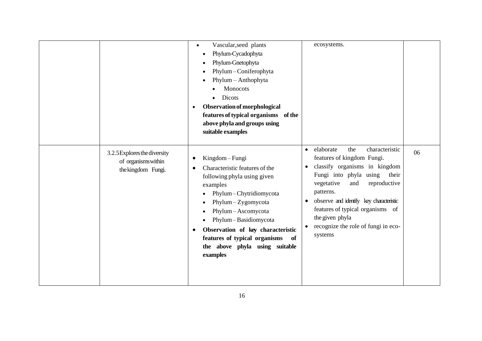|                                                                           | Vascular, seed plants<br>Phylum-Cycadophyta<br>٠<br>Phylum-Gnetophyta<br>Phylum-Coniferophyta<br>Phylum - Anthophyta<br>Monocots<br>Dicots<br>Observation of morphological<br>$\bullet$<br>features of typical organisms of the<br>above phyla and groups using<br>suitable examples                                           | ecosystems.                                                                                                                                                                                                                                                                                                                                             |    |
|---------------------------------------------------------------------------|--------------------------------------------------------------------------------------------------------------------------------------------------------------------------------------------------------------------------------------------------------------------------------------------------------------------------------|---------------------------------------------------------------------------------------------------------------------------------------------------------------------------------------------------------------------------------------------------------------------------------------------------------------------------------------------------------|----|
| 3.2.5 Explores the diversity<br>of organisms within<br>the kingdom Fungi. | Kingdom-Fungi<br>Characteristic features of the<br>following phyla using given<br>examples<br>Phylum-Chytridiomycota<br>Phylum-Zygomycota<br>Phylum-Ascomycota<br>Phylum-Basidiomycota<br>Observation of key characteristic<br>$\epsilon$<br>features of typical organisms<br>of<br>the above phyla using suitable<br>examples | elaborate<br>the<br>characteristic<br>$\bullet$<br>features of kingdom Fungi.<br>classify organisms in kingdom<br>Fungi into phyla using<br>their<br>vegetative<br>and<br>reproductive<br>patterns.<br>observe and identify key characteristic<br>features of typical organisms of<br>the given phyla<br>recognize the role of fungi in eco-<br>systems | 06 |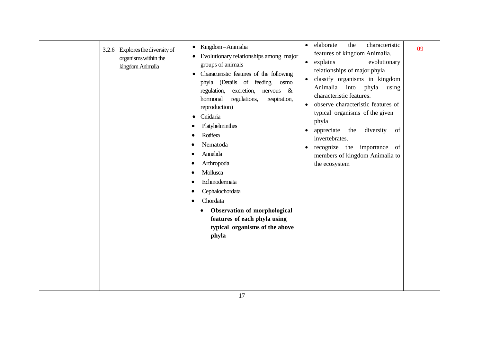|                                                                                |                                                                                                                                                                                                                                                                                                                                                                                                                                                                                                                                                                                                                                                                          | characteristic                                                                                                                                                                                                                                                                                                                                                                                                                                                                                                 |    |
|--------------------------------------------------------------------------------|--------------------------------------------------------------------------------------------------------------------------------------------------------------------------------------------------------------------------------------------------------------------------------------------------------------------------------------------------------------------------------------------------------------------------------------------------------------------------------------------------------------------------------------------------------------------------------------------------------------------------------------------------------------------------|----------------------------------------------------------------------------------------------------------------------------------------------------------------------------------------------------------------------------------------------------------------------------------------------------------------------------------------------------------------------------------------------------------------------------------------------------------------------------------------------------------------|----|
| Explores the diversity of<br>3.2.6<br>organisms within the<br>kingdom Animalia | • Kingdom-Animalia<br>Evolutionary relationships among major<br>٠<br>groups of animals<br>Characteristic features of the following<br>$\bullet$<br>phyla (Details of feeding, osmo<br>regulation,<br>excretion,<br>$n$ ervous &<br>regulations,<br>hormonal<br>respiration,<br>reproduction)<br>Cnidaria<br>$\bullet$<br>Platyhelminthes<br>Rotifera<br>$\bullet$<br>Nematoda<br>$\bullet$<br>Annelida<br>$\bullet$<br>Arthropoda<br>$\bullet$<br>Mollusca<br>$\bullet$<br>Echinodermata<br>$\bullet$<br>Cephalochordata<br>$\bullet$<br>Chordata<br>٠<br><b>Observation of morphological</b><br>features of each phyla using<br>typical organisms of the above<br>phyla | elaborate<br>$\bullet$<br>the<br>features of kingdom Animalia.<br>explains<br>evolutionary<br>$\bullet$<br>relationships of major phyla<br>classify organisms in kingdom<br>$\bullet$<br>Animalia<br>into<br>phyla<br>using<br>characteristic features.<br>observe characteristic features of<br>$\bullet$<br>typical organisms of the given<br>phyla<br>diversity<br>appreciate<br>the<br>of<br>invertebrates.<br>recognize the importance of<br>$\bullet$<br>members of kingdom Animalia to<br>the ecosystem | 09 |
|                                                                                |                                                                                                                                                                                                                                                                                                                                                                                                                                                                                                                                                                                                                                                                          |                                                                                                                                                                                                                                                                                                                                                                                                                                                                                                                |    |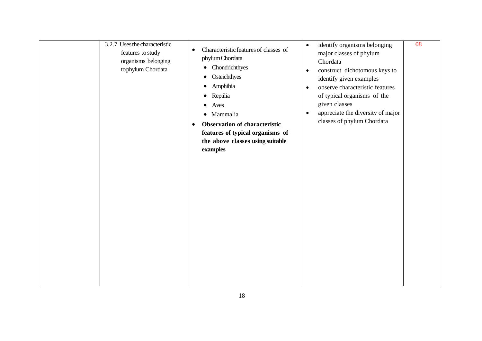| 3.2.7 Uses the characteristic<br>features to study<br>organisms belonging<br>tophylum Chordata | Characteristic features of classes of<br>$\bullet$<br>phylum Chordata<br>• Chondrichthyes<br>Osteichthyes<br>$\bullet$<br>Amphibia<br>$\bullet$<br>Reptilia<br>Aves<br>$\bullet$<br>· Mammalia<br><b>Observation of characteristic</b><br>$\bullet$<br>features of typical organisms of<br>the above classes using suitable<br>examples | identify organisms belonging<br>$\bullet$<br>major classes of phylum<br>Chordata<br>construct dichotomous keys to<br>$\bullet$<br>identify given examples<br>observe characteristic features<br>$\bullet$<br>of typical organisms of the<br>given classes<br>appreciate the diversity of major<br>$\bullet$<br>classes of phylum Chordata | 08 |
|------------------------------------------------------------------------------------------------|-----------------------------------------------------------------------------------------------------------------------------------------------------------------------------------------------------------------------------------------------------------------------------------------------------------------------------------------|-------------------------------------------------------------------------------------------------------------------------------------------------------------------------------------------------------------------------------------------------------------------------------------------------------------------------------------------|----|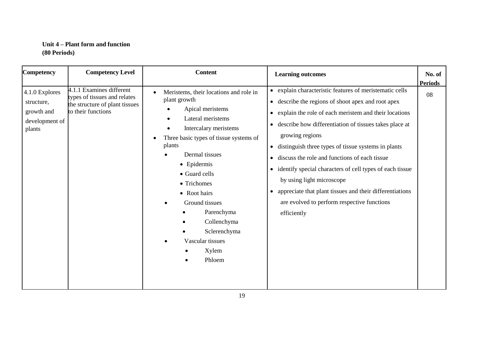## **Unit 4 – Plant form and function (80 Periods)**

| <b>Competency</b>                                                      | <b>Competency Level</b>                                                                                          | <b>Content</b>                                                                                                                                                                                                                                                                                                                                                      | <b>Learning outcomes</b>                                                                                                                                                                                                                                                                                                                                                                                                                                                                                                                                                                              | No. of<br><b>Periods</b> |
|------------------------------------------------------------------------|------------------------------------------------------------------------------------------------------------------|---------------------------------------------------------------------------------------------------------------------------------------------------------------------------------------------------------------------------------------------------------------------------------------------------------------------------------------------------------------------|-------------------------------------------------------------------------------------------------------------------------------------------------------------------------------------------------------------------------------------------------------------------------------------------------------------------------------------------------------------------------------------------------------------------------------------------------------------------------------------------------------------------------------------------------------------------------------------------------------|--------------------------|
| 4.1.0 Explores<br>structure,<br>growth and<br>development of<br>plants | 4.1.1 Examines different<br>types of tissues and relates<br>the structure of plant tissues<br>to their functions | Meristems, their locations and role in<br>plant growth<br>Apical meristems<br>Lateral meristems<br>Intercalary meristems<br>Three basic types of tissue systems of<br>plants<br>Dermal tissues<br>• Epidermis<br>• Guard cells<br>• Trichomes<br>• Root hairs<br>Ground tissues<br>Parenchyma<br>Collenchyma<br>Sclerenchyma<br>Vascular tissues<br>Xylem<br>Phloem | • explain characteristic features of meristematic cells<br>• describe the regions of shoot apex and root apex<br>• explain the role of each meristem and their locations<br>• describe how differentiation of tissues takes place at<br>growing regions<br>distinguish three types of tissue systems in plants<br>$\bullet$<br>• discuss the role and functions of each tissue<br>• identify special characters of cell types of each tissue<br>by using light microscope<br>• appreciate that plant tissues and their differentiations<br>are evolved to perform respective functions<br>efficiently | 08                       |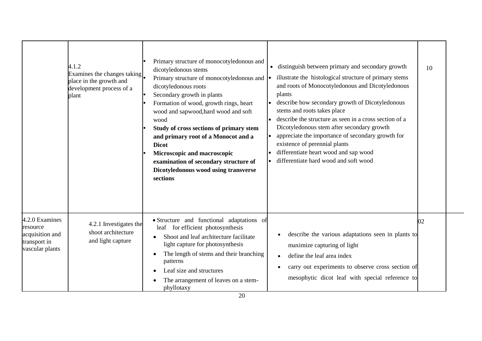|                                                                                  | 4.1.2<br>Examines the changes taking<br>place in the growth and<br>development process of a<br>plant | Primary structure of monocotyledonous and<br>dicotyledonous stems<br>Primary structure of monocotyledonous and<br>dicotyledonous roots<br>Secondary growth in plants<br>Formation of wood, growth rings, heart<br>wood and sapwood, hard wood and soft<br>wood<br>Study of cross sections of primary stem<br>and primary root of a Monocot and a<br><b>Dicot</b><br>Microscopic and macroscopic<br>examination of secondary structure of<br>Dicotyledonous wood using transverse<br>sections | • distinguish between primary and secondary growth<br>illustrate the histological structure of primary stems<br>and roots of Monocotyledonous and Dicotyledonous<br>plants<br>describe how secondary growth of Dicotyledonous<br>stems and roots takes place<br>describe the structure as seen in a cross section of a<br>Dicotyledonous stem after secondary growth<br>appreciate the importance of secondary growth for<br>existence of perennial plants<br>differentiate heart wood and sap wood<br>differentiate hard wood and soft wood | 10 |
|----------------------------------------------------------------------------------|------------------------------------------------------------------------------------------------------|----------------------------------------------------------------------------------------------------------------------------------------------------------------------------------------------------------------------------------------------------------------------------------------------------------------------------------------------------------------------------------------------------------------------------------------------------------------------------------------------|----------------------------------------------------------------------------------------------------------------------------------------------------------------------------------------------------------------------------------------------------------------------------------------------------------------------------------------------------------------------------------------------------------------------------------------------------------------------------------------------------------------------------------------------|----|
| 4.2.0 Examines<br>resource<br>acquisition and<br>transport in<br>vascular plants | 4.2.1 Investigates the<br>shoot architecture<br>and light capture                                    | • Structure and functional adaptations of<br>for efficient photosynthesis<br>leaf<br>Shoot and leaf architecture facilitate<br>light capture for photosynthesis<br>The length of stems and their branching<br>patterns<br>Leaf size and structures<br>The arrangement of leaves on a stem-<br>phyllotaxy                                                                                                                                                                                     | describe the various adaptations seen in plants to<br>maximize capturing of light<br>define the leaf area index<br>$\bullet$<br>carry out experiments to observe cross section of<br>٠<br>mesophytic dicot leaf with special reference to                                                                                                                                                                                                                                                                                                    | 02 |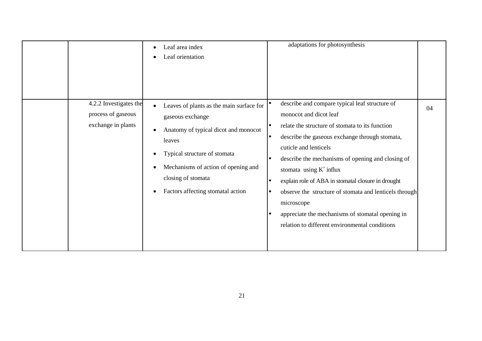| 4.2.2 Investigates the                   | Leaf area index<br>$\bullet$<br>Leaf orientation                                                                                                                                                                                                                                                                  | adaptations for photosynthesis<br>describe and compare typical leaf structure of                                                                                                                                                                                                                                                                                                                                                                                                          |    |
|------------------------------------------|-------------------------------------------------------------------------------------------------------------------------------------------------------------------------------------------------------------------------------------------------------------------------------------------------------------------|-------------------------------------------------------------------------------------------------------------------------------------------------------------------------------------------------------------------------------------------------------------------------------------------------------------------------------------------------------------------------------------------------------------------------------------------------------------------------------------------|----|
| process of gaseous<br>exchange in plants | Leaves of plants as the main surface for<br>$\bullet$<br>gaseous exchange<br>Anatomy of typical dicot and monocot<br>$\bullet$<br>leaves<br>Typical structure of stomata<br>$\bullet$<br>Mechanisms of action of opening and<br>$\bullet$<br>closing of stomata<br>Factors affecting stomatal action<br>$\bullet$ | monocot and dicot leaf<br>relate the structure of stomata to its function<br>describe the gaseous exchange through stomata,<br>l e<br>cuticle and lenticels<br>describe the mechanisms of opening and closing of<br>l e<br>stomata using $K^+$ influx<br>explain role of ABA in stomatal closure in drought<br>observe the structure of stomata and lenticels through<br>microscope<br>appreciate the mechanisms of stomatal opening in<br>relation to different environmental conditions | 04 |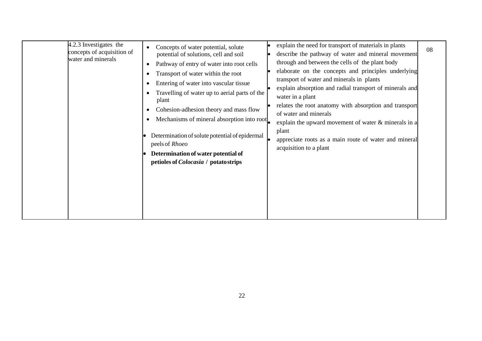| 4.2.3 Investigates the<br>concepts of acquisition of<br>water and minerals | Concepts of water potential, solute<br>potential of solutions, cell and soil<br>Pathway of entry of water into root cells<br>Transport of water within the root<br>Entering of water into vascular tissue<br>Travelling of water up to aerial parts of the<br>plant<br>Cohesion-adhesion theory and mass flow<br>Mechanisms of mineral absorption into root<br>Determination of solute potential of epidermal<br>peels of Rhoeo<br>Determination of water potential of<br>petioles of <i>Colocasia</i> / potatostrips | explain the need for transport of materials in plants<br>describe the pathway of water and mineral movement<br>through and between the cells of the plant body<br>elaborate on the concepts and principles underlying<br>transport of water and minerals in plants<br>explain absorption and radial transport of minerals and<br>water in a plant<br>relates the root anatomy with absorption and transport<br>of water and minerals<br>explain the upward movement of water $\&$ minerals in a<br>plant<br>appreciate roots as a main route of water and mineral<br>acquisition to a plant | 08 |
|----------------------------------------------------------------------------|-----------------------------------------------------------------------------------------------------------------------------------------------------------------------------------------------------------------------------------------------------------------------------------------------------------------------------------------------------------------------------------------------------------------------------------------------------------------------------------------------------------------------|---------------------------------------------------------------------------------------------------------------------------------------------------------------------------------------------------------------------------------------------------------------------------------------------------------------------------------------------------------------------------------------------------------------------------------------------------------------------------------------------------------------------------------------------------------------------------------------------|----|
|----------------------------------------------------------------------------|-----------------------------------------------------------------------------------------------------------------------------------------------------------------------------------------------------------------------------------------------------------------------------------------------------------------------------------------------------------------------------------------------------------------------------------------------------------------------------------------------------------------------|---------------------------------------------------------------------------------------------------------------------------------------------------------------------------------------------------------------------------------------------------------------------------------------------------------------------------------------------------------------------------------------------------------------------------------------------------------------------------------------------------------------------------------------------------------------------------------------------|----|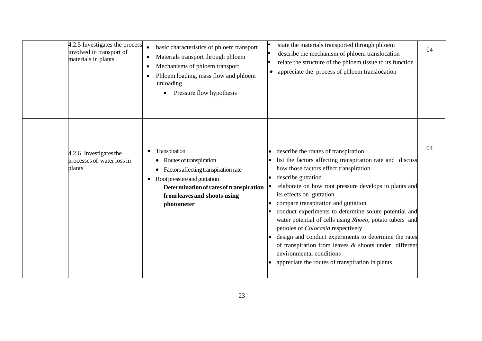| 4.2.5 Investigates the process<br>involved in transport of<br>materials in plants | basic characteristics of phloem transport<br>$\bullet$<br>Materials transport through phloem<br>$\bullet$<br>Mechanisms of phloem transport<br>٠<br>Phloem loading, mass flow and phloem<br>unloading<br>Pressure flow hypothesis | state the materials transported through phloem<br>describe the mechanism of phloem translocation<br>relate the structure of the phloem tissue to its function<br>appreciate the process of phloem translocation                                                                                                                                                                                                                                                                                                                                                                                                                                                                            | 04 |
|-----------------------------------------------------------------------------------|-----------------------------------------------------------------------------------------------------------------------------------------------------------------------------------------------------------------------------------|--------------------------------------------------------------------------------------------------------------------------------------------------------------------------------------------------------------------------------------------------------------------------------------------------------------------------------------------------------------------------------------------------------------------------------------------------------------------------------------------------------------------------------------------------------------------------------------------------------------------------------------------------------------------------------------------|----|
| 4.2.6 Investigates the<br>processes of water loss in<br>plants                    | Transpiration<br>$\bullet$<br>Routes of transpiration<br>Factors affecting transpiration rate<br>• Root pressure and guttation<br>Determination of rates of transpiration<br>from leaves and shoots using<br>photometer           | describe the routes of transpiration<br>$\bullet$<br>list the factors affecting transpiration rate and discuss<br>$\bullet$<br>how those factors effect transpiration<br>describe guttation<br>elaborate on how root pressure develops in plants and<br>its effects on guttation<br>compare transpiration and guttation<br>conduct experiments to determine solute potential and<br>water potential of cells using Rhoeo, potato tubers and<br>petioles of <i>Colocasia</i> respectively<br>design and conduct experiments to determine the rates<br>of transpiration from leaves & shoots under different<br>environmental conditions<br>appreciate the routes of transpiration in plants | 04 |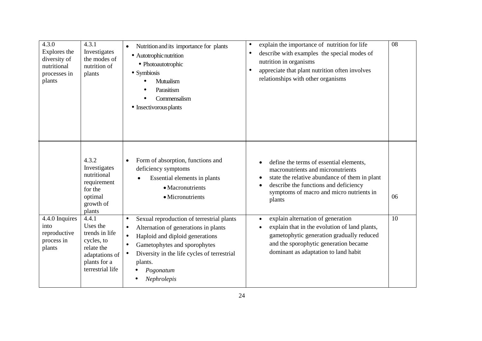| 4.3.0<br>Explores the<br>diversity of<br>nutritional<br>processes in<br>plants | 4.3.1<br>Investigates<br>the modes of<br>nutrition of<br>plants                                                       | Nutrition and its importance for plants<br>$\bullet$<br>· Autotrophic nutrition<br>· Photoautotrophic<br>• Symbiosis<br>Mutualism<br>Parasitism<br>Commensalism<br>• Insectivorous plants                                                                                                           | explain the importance of nutrition for life<br>$\bullet$<br>describe with examples the special modes of<br>$\bullet$<br>nutrition in organisms<br>appreciate that plant nutrition often involves<br>$\bullet$<br>relationships with other organisms | 08 |
|--------------------------------------------------------------------------------|-----------------------------------------------------------------------------------------------------------------------|-----------------------------------------------------------------------------------------------------------------------------------------------------------------------------------------------------------------------------------------------------------------------------------------------------|------------------------------------------------------------------------------------------------------------------------------------------------------------------------------------------------------------------------------------------------------|----|
|                                                                                | 4.3.2<br>Investigates<br>nutritional<br>requirement<br>for the<br>optimal<br>growth of<br>plants                      | Form of absorption, functions and<br>$\bullet$<br>deficiency symptoms<br>Essential elements in plants<br>• Macronutrients<br>· Micronutrients                                                                                                                                                       | define the terms of essential elements,<br>macronutrients and micronutrients<br>state the relative abundance of them in plant<br>describe the functions and deficiency<br>symptoms of macro and micro nutrients in<br>plants                         | 06 |
| 4.4.0 Inquires<br>into<br>reproductive<br>process in<br>plants                 | 4.4.1<br>Uses the<br>trends in life<br>cycles, to<br>relate the<br>adaptations of<br>plants for a<br>terrestrial life | Sexual reproduction of terrestrial plants<br>$\bullet$<br>Alternation of generations in plants<br>$\bullet$<br>Haploid and diploid generations<br>$\bullet$<br>Gametophytes and sporophytes<br>$\bullet$<br>Diversity in the life cycles of terrestrial<br>plants.<br>Pogonatum<br>Nephrolepis<br>٠ | explain alternation of generation<br>explain that in the evolution of land plants,<br>gametophytic generation gradually reduced<br>and the sporophytic generation became<br>dominant as adaptation to land habit                                     | 10 |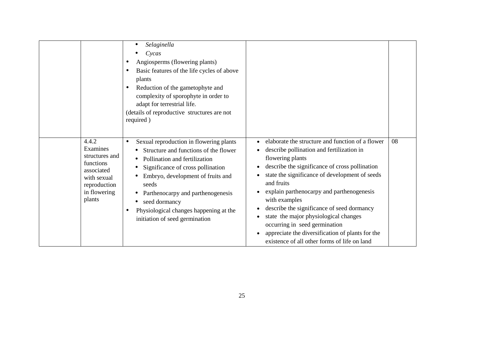|                                                                                                                         | Selaginella<br>Cycas<br>Angiosperms (flowering plants)<br>Basic features of the life cycles of above<br>٠<br>plants<br>Reduction of the gametophyte and<br>complexity of sporophyte in order to<br>adapt for terrestrial life.<br>(details of reproductive structures are not<br>required)                                                                       |                                                                                                                                                                                                                                                                                                                                                                                                                                                                                                                               |    |
|-------------------------------------------------------------------------------------------------------------------------|------------------------------------------------------------------------------------------------------------------------------------------------------------------------------------------------------------------------------------------------------------------------------------------------------------------------------------------------------------------|-------------------------------------------------------------------------------------------------------------------------------------------------------------------------------------------------------------------------------------------------------------------------------------------------------------------------------------------------------------------------------------------------------------------------------------------------------------------------------------------------------------------------------|----|
| 4.4.2<br>Examines<br>structures and<br>functions<br>associated<br>with sexual<br>reproduction<br>in flowering<br>plants | Sexual reproduction in flowering plants<br>$\bullet$<br>Structure and functions of the flower<br>Pollination and fertilization<br>Significance of cross pollination<br>Embryo, development of fruits and<br>seeds<br>Parthenocarpy and parthenogenesis<br>seed dormancy<br>$\bullet$<br>Physiological changes happening at the<br>initiation of seed germination | elaborate the structure and function of a flower<br>describe pollination and fertilization in<br>flowering plants<br>describe the significance of cross pollination<br>state the significance of development of seeds<br>and fruits<br>explain parthenocarpy and parthenogenesis<br>with examples<br>describe the significance of seed dormancy<br>state the major physiological changes<br>occurring in seed germination<br>appreciate the diversification of plants for the<br>existence of all other forms of life on land | 08 |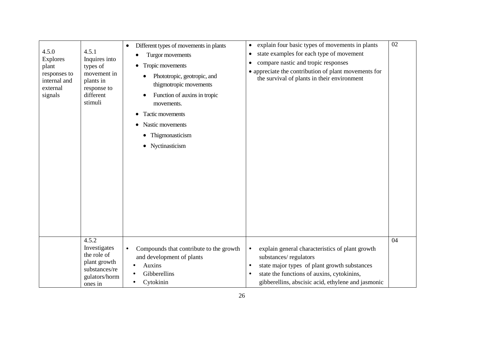| 4.5.0<br>4.5.1<br>Explores<br>Inquires into<br>types of<br>plant<br>movement in<br>responses to<br>internal and<br>plants in<br>external<br>response to<br>different<br>signals<br>stimuli | Different types of movements in plants<br>$\bullet$<br>Turgor movements<br>Tropic movements<br>٠<br>Phototropic, geotropic, and<br>thigmotropic movements<br>Function of auxins in tropic<br>movements.<br>Tactic movements<br>$\bullet$<br>Nastic movements<br>• Thigmonasticism<br>• Nyctinasticism | explain four basic types of movements in plants<br>$\bullet$<br>state examples for each type of movement<br>$\bullet$<br>compare nastic and tropic responses<br>٠<br>• appreciate the contribution of plant movements for<br>the survival of plants in their environment | 02 |
|--------------------------------------------------------------------------------------------------------------------------------------------------------------------------------------------|-------------------------------------------------------------------------------------------------------------------------------------------------------------------------------------------------------------------------------------------------------------------------------------------------------|--------------------------------------------------------------------------------------------------------------------------------------------------------------------------------------------------------------------------------------------------------------------------|----|
| 4.5.2<br>Investigates<br>the role of<br>plant growth<br>substances/re<br>gulators/horm<br>ones in                                                                                          | Compounds that contribute to the growth<br>and development of plants<br>Auxins<br>Gibberellins<br>Cytokinin                                                                                                                                                                                           | explain general characteristics of plant growth<br>substances/regulators<br>state major types of plant growth substances<br>state the functions of auxins, cytokinins,<br>$\bullet$<br>gibberellins, abscisic acid, ethylene and jasmonic                                | 04 |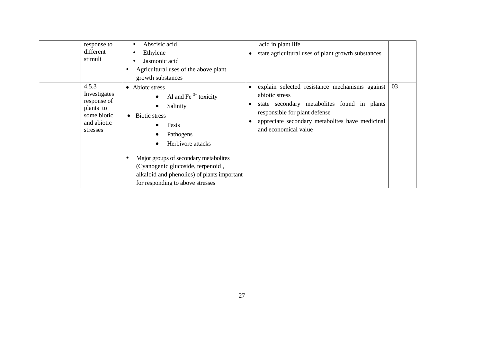| response to<br>different<br>stimuli                                                         | Abscisic acid<br>Ethylene<br>Jasmonic acid<br>Agricultural uses of the above plant<br>٠<br>growth substances                                                                                                                                                                                                                    | acid in plant life<br>state agricultural uses of plant growth substances<br>$\bullet$                                                                                                                                                                               |    |
|---------------------------------------------------------------------------------------------|---------------------------------------------------------------------------------------------------------------------------------------------------------------------------------------------------------------------------------------------------------------------------------------------------------------------------------|---------------------------------------------------------------------------------------------------------------------------------------------------------------------------------------------------------------------------------------------------------------------|----|
| 4.5.3<br>Investigates<br>response of<br>plants to<br>some biotic<br>and abiotic<br>stresses | Abiote stress<br>$\bullet$<br>Al and Fe $3+$ toxicity<br>Salinity<br>$\bullet$<br><b>Biotic stress</b><br>Pests<br>Pathogens<br>Herbivore attacks<br>Major groups of secondary metabolites<br>$\bullet$<br>(Cyanogenic glucoside, terpenoid,<br>alkaloid and phenolics) of plants important<br>for responding to above stresses | explain selected resistance mechanisms against<br>$\bullet$<br>abiotic stress<br>state secondary metabolities found in plants<br>$\bullet$<br>responsible for plant defense<br>appreciate secondary metabolites have medicinal<br>$\bullet$<br>and economical value | 03 |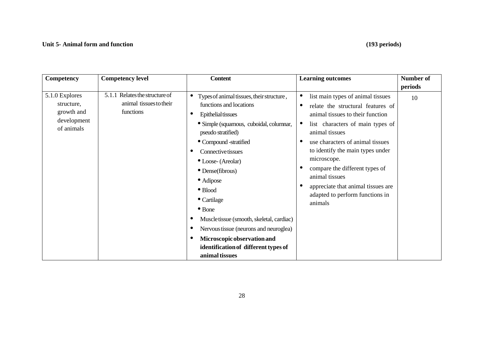## **Unit 5- Animal form and function (193 periods)**

| Competency                                                              | <b>Competency level</b>                                                   | <b>Content</b>                                                                                                                                                                                                                                                                                                                                                                                                                                                                                                               | <b>Learning outcomes</b>                                                                                                                                                                                                                                                                                                                                                                                                       | <b>Number of</b> |
|-------------------------------------------------------------------------|---------------------------------------------------------------------------|------------------------------------------------------------------------------------------------------------------------------------------------------------------------------------------------------------------------------------------------------------------------------------------------------------------------------------------------------------------------------------------------------------------------------------------------------------------------------------------------------------------------------|--------------------------------------------------------------------------------------------------------------------------------------------------------------------------------------------------------------------------------------------------------------------------------------------------------------------------------------------------------------------------------------------------------------------------------|------------------|
|                                                                         |                                                                           |                                                                                                                                                                                                                                                                                                                                                                                                                                                                                                                              |                                                                                                                                                                                                                                                                                                                                                                                                                                | periods          |
| 5.1.0 Explores<br>structure,<br>growth and<br>development<br>of animals | Relates the structure of<br>5.1.1<br>animal tissues to their<br>functions | Types of animal tissues, their structure,<br>functions and locations<br><b>Epithelial tissues</b><br>· Simple (squamous, cuboidal, columnar,<br>pseudo stratified)<br>• Compound -stratified<br><b>Connective tissues</b><br>• Loose- (Areolar)<br>$\bullet$ Dense(fibrous)<br>• Adipose<br>$\bullet$ Blood<br>• Cartilage<br>$\bullet$ Bone<br>Muscle tissue (smooth, skeletal, cardiac)<br>Nervous tissue (neurons and neuroglea)<br>Microscopic observation and<br>identification of different types of<br>animal tissues | $\bullet$<br>list main types of animal tissues<br>relate the structural features of<br>animal tissues to their function<br>list characters of main types of<br>$\bullet$<br>animal tissues<br>use characters of animal tissues<br>c<br>to identify the main types under<br>microscope.<br>compare the different types of<br>animal tissues<br>appreciate that animal tissues are<br>adapted to perform functions in<br>animals | 10               |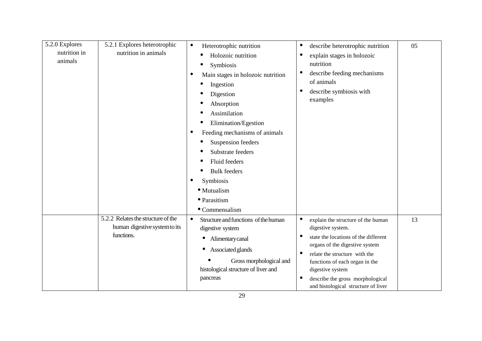| 5.2.0 Explores<br>nutrition in<br>animals | 5.2.1 Explores heterotrophic<br>nutrition in animals                              | Heterotrophic nutrition<br>$\bullet$<br>Holozoic nutrition<br>Symbiosis<br>Main stages in holozoic nutrition<br>Ingestion<br>Digestion<br>Absorption<br>Assimilation<br>Elimination/Egestion<br>Feeding mechanisms of animals<br>$\bullet$<br>Suspension feeders<br>Substrate feeders<br>Fluid feeders<br><b>Bulk feeders</b><br>Symbiosis<br>· Mutualism<br>· Parasitism<br>• Commensalism | describe heterotrophic nutrition<br>$\bullet$<br>explain stages in holozoic<br>$\bullet$<br>nutrition<br>describe feeding mechanisms<br>$\bullet$<br>of animals<br>describe symbiosis with<br>examples                                                                                                                        | 05 |
|-------------------------------------------|-----------------------------------------------------------------------------------|---------------------------------------------------------------------------------------------------------------------------------------------------------------------------------------------------------------------------------------------------------------------------------------------------------------------------------------------------------------------------------------------|-------------------------------------------------------------------------------------------------------------------------------------------------------------------------------------------------------------------------------------------------------------------------------------------------------------------------------|----|
|                                           | 5.2.2 Relates the structure of the<br>human digestive system to its<br>functions. | Structure and functions of the human<br>$\bullet$<br>digestive system<br>Alimentarycanal<br>$\bullet$<br>Associated glands<br>Gross morphological and<br>histological structure of liver and<br>pancreas                                                                                                                                                                                    | $\bullet$<br>explain the structure of the human<br>digestive system.<br>state the locations of the different<br>organs of the digestive system<br>$\bullet$<br>relate the structure with the<br>functions of each organ in the<br>digestive system<br>describe the gross morphological<br>and histological structure of liver | 13 |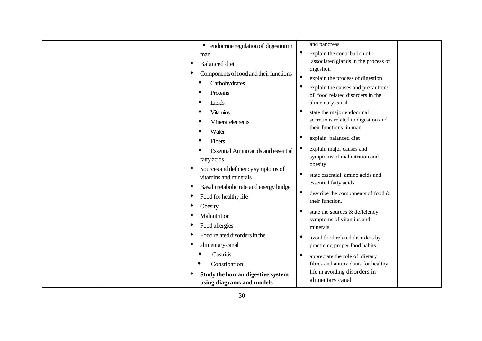| endocrine regulation of digestion in       | and pancreas                                                           |
|--------------------------------------------|------------------------------------------------------------------------|
| man                                        | ٠<br>explain the contribution of                                       |
| <b>Balanced</b> diet                       | associated glands in the process of<br>digestion                       |
| Components of food and their functions     | $\bullet$                                                              |
| Carbohydrates                              | explain the process of digestion<br>$\bullet$                          |
| Proteins                                   | explain the causes and precautions<br>of food related disorders in the |
| Lipids                                     | alimentary canal                                                       |
| <b>Vitamins</b>                            | ٠<br>state the major endocrinal                                        |
| <b>Mineral elements</b>                    | secretions related to digestion and                                    |
| Water                                      | their functions in man                                                 |
| Fibers                                     | $\bullet$<br>explain balanced diet                                     |
| <b>Essential Amino acids and essential</b> | explain major causes and                                               |
| fatty acids                                | symptoms of malnutrition and                                           |
| Sources and deficiency symptoms of         | obesity                                                                |
| vitamins and minerals                      | $\bullet$<br>state essential amino acids and                           |
| Basal metabolic rate and energy budget     | essential fatty acids                                                  |
| Food for healthy life                      | describe the components of food &<br>their function.                   |
| Obesity                                    | $\bullet$                                                              |
| Malnutrition                               | state the sources & deficiency<br>symptoms of vitamins and             |
| Food allergies                             | minerals                                                               |
| Food related disorders in the              | avoid food related disorders by                                        |
| alimentary canal                           | practicing proper food habits                                          |
| Gastritis                                  | $\bullet$<br>appreciate the role of dietary                            |
| Constipation                               | fibres and antioxidants for healthy                                    |
| Study the human digestive system           | life in avoiding disorders in                                          |
| using diagrams and models                  | alimentary canal                                                       |
|                                            |                                                                        |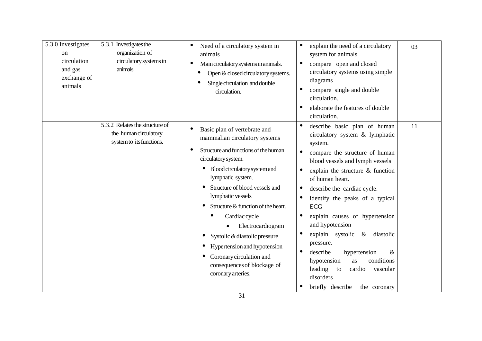| 5.3.0 Investigates<br>on<br>circulation<br>and gas<br>exchange of<br>animals | 5.3.1 Investigates the<br>organization of<br>circulatory systems in<br>animals      | Need of a circulatory system in<br>$\bullet$<br>animals<br>Main circulatory systems in animals.<br>$\bullet$<br>Open & closed circulatory systems.<br>Single circulation and double<br>circulation.                                                                                                                                                                                                                                                                                 | explain the need of a circulatory<br>system for animals<br>compare open and closed<br>$\bullet$<br>circulatory systems using simple<br>diagrams<br>compare single and double<br>circulation.<br>elaborate the features of double<br>circulation.                                                                                                                                                                                                                                                                                                                                                                        | 03 |
|------------------------------------------------------------------------------|-------------------------------------------------------------------------------------|-------------------------------------------------------------------------------------------------------------------------------------------------------------------------------------------------------------------------------------------------------------------------------------------------------------------------------------------------------------------------------------------------------------------------------------------------------------------------------------|-------------------------------------------------------------------------------------------------------------------------------------------------------------------------------------------------------------------------------------------------------------------------------------------------------------------------------------------------------------------------------------------------------------------------------------------------------------------------------------------------------------------------------------------------------------------------------------------------------------------------|----|
|                                                                              | 5.3.2 Relates the structure of<br>the human circulatory<br>system to its functions. | Basic plan of vertebrate and<br>$\bullet$<br>mammalian circulatory systems<br>Structure and functions of the human<br>circulatory system.<br>Blood circulatory system and<br>lymphatic system.<br>Structure of blood vessels and<br>lymphatic vessels<br>Structure & function of the heart.<br>Cardiac cycle<br>Electrocardiogram<br>Systolic & diastolic pressure<br>Hypertension and hypotension<br>Coronary circulation and<br>consequences of blockage of<br>coronary arteries. | describe basic plan of human<br>$\bullet$<br>circulatory system & lymphatic<br>system.<br>compare the structure of human<br>$\bullet$<br>blood vessels and lymph vessels<br>explain the structure & function<br>$\bullet$<br>of human heart.<br>describe the cardiac cycle.<br>identify the peaks of a typical<br><b>ECG</b><br>explain causes of hypertension<br>and hypotension<br>explain systolic<br>$\bullet$<br>$\&$<br>diastolic<br>pressure.<br>describe<br>hypertension<br>&<br>conditions<br>hypotension<br><b>as</b><br>leading<br>cardio<br>to<br>vascular<br>disorders<br>briefly describe<br>the coronary | 11 |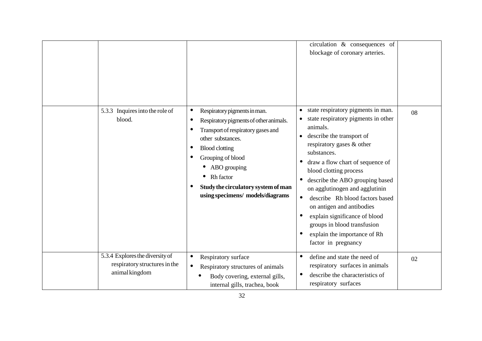|                                                                                    |                                                                                                                                                                                                                                                                                                                   | circulation & consequences of<br>blockage of coronary arteries.                                                                                                                                                                                                                                                                                                                                                                                                                                                                                                                     |    |
|------------------------------------------------------------------------------------|-------------------------------------------------------------------------------------------------------------------------------------------------------------------------------------------------------------------------------------------------------------------------------------------------------------------|-------------------------------------------------------------------------------------------------------------------------------------------------------------------------------------------------------------------------------------------------------------------------------------------------------------------------------------------------------------------------------------------------------------------------------------------------------------------------------------------------------------------------------------------------------------------------------------|----|
| 5.3.3 Inquires into the role of<br>blood.                                          | Respiratory pigments in man.<br>$\bullet$<br>Respiratory pigments of other animals.<br>$\bullet$<br>Transport of respiratory gases and<br>other substances.<br><b>Blood clotting</b><br>Grouping of blood<br>ABO grouping<br>Rh factor<br>Study the circulatory system of man<br>using specimens/ models/diagrams | state respiratory pigments in man.<br>$\bullet$<br>state respiratory pigments in other<br>animals.<br>describe the transport of<br>$\bullet$<br>respiratory gases & other<br>substances.<br>draw a flow chart of sequence of<br>$\bullet$<br>blood clotting process<br>describe the ABO grouping based<br>$\bullet$<br>on agglutinogen and agglutinin<br>describe Rh blood factors based<br>$\bullet$<br>on antigen and antibodies<br>explain significance of blood<br>$\bullet$<br>groups in blood transfusion<br>explain the importance of Rh<br>$\bullet$<br>factor in pregnancy | 08 |
| 5.3.4 Explores the diversity of<br>respiratory structures in the<br>animal kingdom | Respiratory surface<br>Respiratory structures of animals<br>Body covering, external gills,<br>internal gills, trachea, book                                                                                                                                                                                       | define and state the need of<br>$\bullet$<br>respiratory surfaces in animals<br>describe the characteristics of<br>respiratory surfaces                                                                                                                                                                                                                                                                                                                                                                                                                                             | 02 |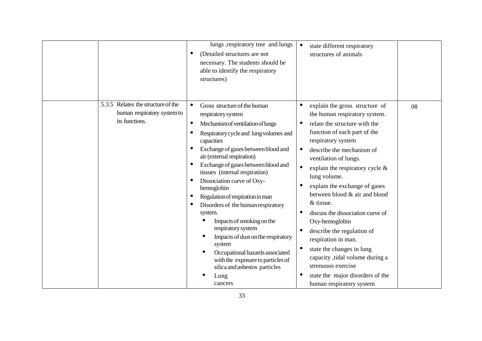|                                                      | lungs, respiratory tree and lungs<br>(Detailed structures are not<br>necessary. The students should be<br>able to identify the respiratory<br>structures)                                                                                                                                                                                                                                                                                                                                                                                                                                                                                                                                                 | $\bullet$<br>state different respiratory<br>structures of animals                                                                                                                                                                                                                                                                                                                                                                                                                                                                                                                                                                                                      |
|------------------------------------------------------|-----------------------------------------------------------------------------------------------------------------------------------------------------------------------------------------------------------------------------------------------------------------------------------------------------------------------------------------------------------------------------------------------------------------------------------------------------------------------------------------------------------------------------------------------------------------------------------------------------------------------------------------------------------------------------------------------------------|------------------------------------------------------------------------------------------------------------------------------------------------------------------------------------------------------------------------------------------------------------------------------------------------------------------------------------------------------------------------------------------------------------------------------------------------------------------------------------------------------------------------------------------------------------------------------------------------------------------------------------------------------------------------|
| 5.3.5 Relates the structure of the<br>its functions. | Gross structure of the human<br>$\bullet$<br>human respiratory system to<br>respiratory system<br>Mechanism of ventilation of lungs<br>Respiratory cycle and lung volumes and<br>capacities<br>Exchange of gases between blood and<br>air (external respiration)<br>Exchange of gases between blood and<br>tissues (internal respiration)<br>Dissociation curve of Oxy-<br>hemoglobin<br>Regulation of respiration in man<br>Disorders of the human respiratory<br>system.<br>Impacts of smoking on the<br>respiratory system<br>Impacts of dust on the respiratory<br>system<br>Occupational hazards associated<br>with the exposure to particles of<br>silica and asbestos particles<br>Lung<br>cancers | $\bullet$<br>explain the gross structure of<br>08<br>the human respiratory system.<br>relate the structure with the<br>function of each part of the<br>respiratory system<br>describe the mechanism of<br>ventilation of lungs.<br>$\bullet$<br>explain the respiratory cycle $\&$<br>lung volume.<br>explain the exchange of gases<br>between blood & air and blood<br>& tissue.<br>discuss the dissociation curve of<br>٠<br>Oxy-hemoglobin<br>describe the regulation of<br>respiration in man.<br>$\bullet$<br>state the changes in lung<br>capacity , tidal volume during a<br>strenuous exercise<br>state the major disorders of the<br>human respiratory system |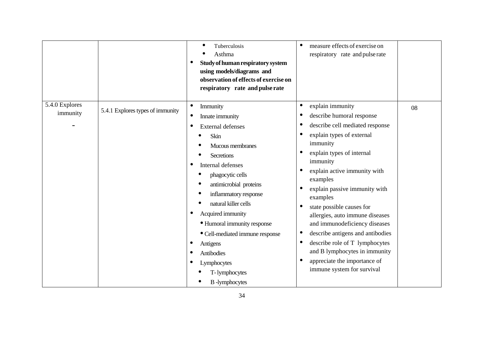|                            |                                  | Tuberculosis<br>$\bullet$<br>Asthma<br>Study of human respiratory system<br>using models/diagrams and<br>observation of effects of exercise on<br>respiratory rate and pulse rate                                                                                                                                                                                                                            | measure effects of exercise on<br>respiratory rate and pulse rate                                                                                                                                                                                                                                                                                                                                                                                                                                                                              |    |
|----------------------------|----------------------------------|--------------------------------------------------------------------------------------------------------------------------------------------------------------------------------------------------------------------------------------------------------------------------------------------------------------------------------------------------------------------------------------------------------------|------------------------------------------------------------------------------------------------------------------------------------------------------------------------------------------------------------------------------------------------------------------------------------------------------------------------------------------------------------------------------------------------------------------------------------------------------------------------------------------------------------------------------------------------|----|
| 5.4.0 Explores<br>immunity | 5.4.1 Explores types of immunity | Immunity<br>$\bullet$<br>Innate immunity<br><b>External defenses</b><br>Skin<br>Mucous membranes<br>Secretions<br>Internal defenses<br>phagocytic cells<br>antimicrobial proteins<br>inflammatory response<br>natural killer cells<br>Acquired immunity<br>• Humoral immunity response<br>• Cell-mediated immune response<br>Antigens<br>Antibodies<br>Lymphocytes<br>T-lymphocytes<br><b>B</b> -lymphocytes | explain immunity<br>$\bullet$<br>describe humoral response<br>describe cell mediated response<br>explain types of external<br>immunity<br>explain types of internal<br>immunity<br>explain active immunity with<br>examples<br>explain passive immunity with<br>examples<br>state possible causes for<br>allergies, auto immune diseases<br>and immunodeficiency diseases<br>describe antigens and antibodies<br>describe role of T lymphocytes<br>and B lymphocytes in immunity<br>appreciate the importance of<br>immune system for survival | 08 |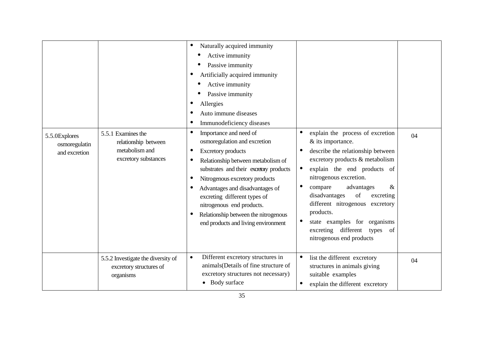|                                                 |                                                                                      | Naturally acquired immunity<br>$\bullet$                                                                                                                                                                                                                                                                                                                                              |                                                                                                                                                                                                                                                                                                                                                                                                                                      |    |
|-------------------------------------------------|--------------------------------------------------------------------------------------|---------------------------------------------------------------------------------------------------------------------------------------------------------------------------------------------------------------------------------------------------------------------------------------------------------------------------------------------------------------------------------------|--------------------------------------------------------------------------------------------------------------------------------------------------------------------------------------------------------------------------------------------------------------------------------------------------------------------------------------------------------------------------------------------------------------------------------------|----|
|                                                 |                                                                                      | Active immunity                                                                                                                                                                                                                                                                                                                                                                       |                                                                                                                                                                                                                                                                                                                                                                                                                                      |    |
|                                                 |                                                                                      | Passive immunity                                                                                                                                                                                                                                                                                                                                                                      |                                                                                                                                                                                                                                                                                                                                                                                                                                      |    |
|                                                 |                                                                                      | Artificially acquired immunity                                                                                                                                                                                                                                                                                                                                                        |                                                                                                                                                                                                                                                                                                                                                                                                                                      |    |
|                                                 |                                                                                      | Active immunity                                                                                                                                                                                                                                                                                                                                                                       |                                                                                                                                                                                                                                                                                                                                                                                                                                      |    |
|                                                 |                                                                                      | Passive immunity                                                                                                                                                                                                                                                                                                                                                                      |                                                                                                                                                                                                                                                                                                                                                                                                                                      |    |
|                                                 |                                                                                      | Allergies                                                                                                                                                                                                                                                                                                                                                                             |                                                                                                                                                                                                                                                                                                                                                                                                                                      |    |
|                                                 |                                                                                      | Auto immune diseases                                                                                                                                                                                                                                                                                                                                                                  |                                                                                                                                                                                                                                                                                                                                                                                                                                      |    |
|                                                 |                                                                                      | Immunodeficiency diseases                                                                                                                                                                                                                                                                                                                                                             |                                                                                                                                                                                                                                                                                                                                                                                                                                      |    |
| 5.5.0Explores<br>osmoregulatin<br>and excretion | 5.5.1 Examines the<br>relationship between<br>metabolism and<br>excretory substances | Importance and need of<br>osmoregulation and excretion<br><b>Excretory products</b><br>Relationship between metabolism of<br>substrates and their excretory products<br>Nitrogenous excretory products<br>Advantages and disadvantages of<br>excreting different types of<br>nitrogenous end products.<br>Relationship between the nitrogenous<br>end products and living environment | explain the process of excretion<br>& its importance.<br>describe the relationship between<br>excretory products & metabolism<br>explain the end products of<br>$\bullet$<br>nitrogenous excretion.<br>$\bullet$<br>compare<br>advantages<br>&<br>disadvantages<br>of<br>excreting<br>different nitrogenous<br>excretory<br>products.<br>state examples for organisms<br>excreting different types<br>of<br>nitrogenous end products | 04 |
|                                                 | 5.5.2 Investigate the diversity of<br>excretory structures of<br>organisms           | Different excretory structures in<br>$\bullet$<br>animals (Details of fine structure of<br>excretory structures not necessary)<br>• Body surface                                                                                                                                                                                                                                      | list the different excretory<br>$\bullet$<br>structures in animals giving<br>suitable examples<br>explain the different excretory<br>$\bullet$                                                                                                                                                                                                                                                                                       | 04 |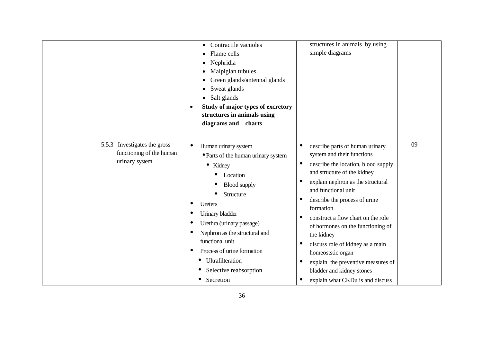|                                                                            | Contractile vacuoles<br>Flame cells<br>Nephridia<br>Malpigian tubules<br>Green glands/antennal glands<br>Sweat glands<br>Salt glands<br>Study of major types of excretory<br>$\bullet$<br>structures in animals using<br>diagrams and charts                                                                                                 | structures in animals by using<br>simple diagrams                                                                                                                                                                                                                                                                                                                                                                                                                                                                                                                                                                    |
|----------------------------------------------------------------------------|----------------------------------------------------------------------------------------------------------------------------------------------------------------------------------------------------------------------------------------------------------------------------------------------------------------------------------------------|----------------------------------------------------------------------------------------------------------------------------------------------------------------------------------------------------------------------------------------------------------------------------------------------------------------------------------------------------------------------------------------------------------------------------------------------------------------------------------------------------------------------------------------------------------------------------------------------------------------------|
| 5.5.3 Investigates the gross<br>functioning of the human<br>urinary system | Human urinary system<br>$\bullet$<br>• Parts of the human urinary system<br>• Kidney<br>Location<br><b>Blood</b> supply<br>Structure<br>Ureters<br>Urinary bladder<br>Urethra (urinary passage)<br>Nephron as the structural and<br>functional unit<br>Process of urine formation<br>Ultrafilteration<br>Selective reabsorption<br>Secretion | 09<br>describe parts of human urinary<br>$\bullet$<br>system and their functions<br>describe the location, blood supply<br>$\bullet$<br>and structure of the kidney<br>explain nephron as the structural<br>$\bullet$<br>and functional unit<br>describe the process of urine<br>$\bullet$<br>formation<br>construct a flow chart on the role<br>$\bullet$<br>of hormones on the functioning of<br>the kidney<br>discuss role of kidney as a main<br>$\bullet$<br>homeoststic organ<br>explain the preventive measures of<br>$\bullet$<br>bladder and kidney stones<br>explain what CKDu is and discuss<br>$\bullet$ |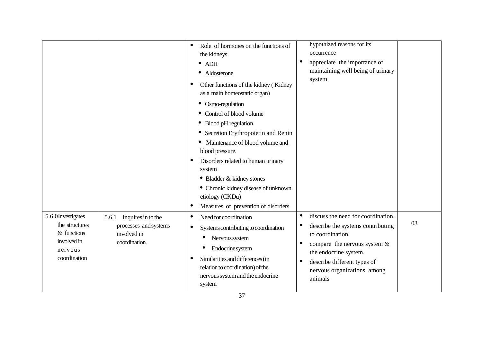|                                                                                                |                                                                                      | Role of hormones on the functions of<br>the kidneys<br>$\bullet$ ADH<br>Aldosterone<br>$\bullet$<br>Other functions of the kidney (Kidney<br>as a main homeostatic organ)                                                                                                                                                                                                          | hypothized reasons for its<br>occurrence<br>appreciate the importance of<br>٠<br>maintaining well being of urinary<br>system                                                                                                                                   |    |
|------------------------------------------------------------------------------------------------|--------------------------------------------------------------------------------------|------------------------------------------------------------------------------------------------------------------------------------------------------------------------------------------------------------------------------------------------------------------------------------------------------------------------------------------------------------------------------------|----------------------------------------------------------------------------------------------------------------------------------------------------------------------------------------------------------------------------------------------------------------|----|
|                                                                                                |                                                                                      | Osmo-regulation<br>$\bullet$<br>Control of blood volume<br>Blood pH regulation<br>$\bullet$<br>Secretion Erythropoietin and Renin<br>$\bullet$<br>Maintenance of blood volume and<br>blood pressure.<br>Disorders related to human urinary<br>system<br>• Bladder & kidney stones<br>• Chronic kidney disease of unknown<br>etiology (CKDu)<br>Measures of prevention of disorders |                                                                                                                                                                                                                                                                |    |
| 5.6.0Investigates<br>the structures<br>$&$ functions<br>involved in<br>nervous<br>coordination | Inquires in to the<br>5.6.1<br>processes and systems<br>involved in<br>coordination. | Need for coordination<br>Systems contributing to coordination<br>Nervous system<br>$\bullet$<br>Endocrine system<br>$\bullet$<br>Similarities and differences (in<br>relation to coordination) of the<br>nervous system and the endocrine<br>system                                                                                                                                | discuss the need for coordination.<br>$\bullet$<br>describe the systems contributing<br>to coordination<br>compare the nervous system $\&$<br>٠<br>the endocrine system.<br>describe different types of<br>$\bullet$<br>nervous organizations among<br>animals | 03 |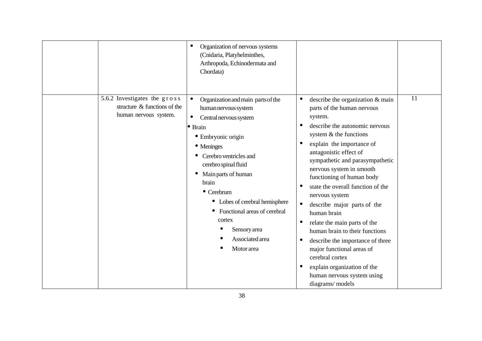| Organization of nervous systems<br>(Cnidaria, Platyhelminthes,<br>Arthropoda, Echinodermata and<br>Chordata)                                                                                                                                                                                                                                                                                                                                                                                              |                                                                                                                                                                                                                                                                                                                                                                                                                                                                                                                                                                                                                                                                                        |    |
|-----------------------------------------------------------------------------------------------------------------------------------------------------------------------------------------------------------------------------------------------------------------------------------------------------------------------------------------------------------------------------------------------------------------------------------------------------------------------------------------------------------|----------------------------------------------------------------------------------------------------------------------------------------------------------------------------------------------------------------------------------------------------------------------------------------------------------------------------------------------------------------------------------------------------------------------------------------------------------------------------------------------------------------------------------------------------------------------------------------------------------------------------------------------------------------------------------------|----|
| 5.6.2 Investigates the gross<br>$\bullet$<br>Organization and main parts of the<br>structure $\&$ functions of the<br>human nervous system<br>human nervous system.<br>$\bullet$<br>Central nervous system<br>· Brain<br>• Embryonic origin<br>• Meninges<br>Cerebro ventricles and<br>cerebro spinal fluid<br>Main parts of human<br>brain<br>$\bullet$ Cerebrum<br>Lobes of cerebral hemisphere<br>$\bullet$<br>Functional areas of cerebral<br>cortex<br>Sensory area<br>Associated area<br>Motor area | describe the organization & main<br>٠<br>parts of the human nervous<br>system.<br>describe the autonomic nervous<br>$\bullet$<br>system & the functions<br>explain the importance of<br>€<br>antagonistic effect of<br>sympathetic and parasympathetic<br>nervous system in smooth<br>functioning of human body<br>state the overall function of the<br>٠<br>nervous system<br>describe major parts of the<br>$\bullet$<br>human brain<br>relate the main parts of the<br>٠<br>human brain to their functions<br>describe the importance of three<br>0<br>major functional areas of<br>cerebral cortex<br>explain organization of the<br>human nervous system using<br>diagrams/models | 11 |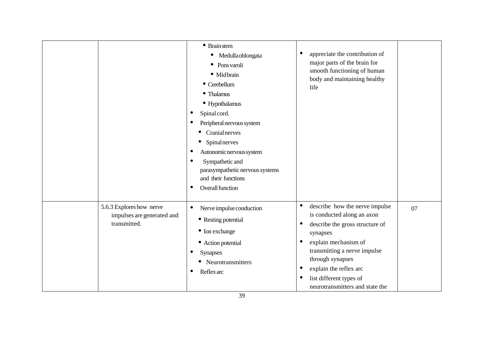|                                          |                            | $\bullet$ Brain stem<br>Medulla oblongata<br>Pons varoli<br>$\bullet$<br>· Midbrain<br>• Cerebellum<br>• Thalamus<br>• Hypothalamus<br>Spinal cord.<br>Peripheral nervous system<br>Cranialnerves<br>Spinalnerves<br>$\bullet$<br>Autonomic nervous system<br>Sympathetic and<br>$\bullet$<br>parasympathetic nervous systems<br>and their functions<br>Overall function<br>٠ | appreciate the contribution of<br>٠<br>major parts of the brain for<br>smooth functioning of human<br>body and maintaining healthy<br>life                                                                                                                                                                               |    |
|------------------------------------------|----------------------------|-------------------------------------------------------------------------------------------------------------------------------------------------------------------------------------------------------------------------------------------------------------------------------------------------------------------------------------------------------------------------------|--------------------------------------------------------------------------------------------------------------------------------------------------------------------------------------------------------------------------------------------------------------------------------------------------------------------------|----|
| 5.6.3 Explores how nerve<br>transmitted. | impulses are generated and | Nerve impulse conduction<br>$\bullet$<br>• Resting potential<br>• Ion exchange<br>• Action potential<br><b>Synapses</b><br>• Neurotransmitters<br><b>Reflex</b> arc<br>$\bullet$                                                                                                                                                                                              | describe how the nerve impulse<br>$\bullet$<br>is conducted along an axon<br>describe the gross structure of<br>٠<br>synapses<br>explain mechanism of<br>٠<br>transmitting a nerve impulse<br>through synapses<br>explain the reflex arc<br>$\bullet$<br>list different types of<br>٠<br>neurotransmitters and state the | 07 |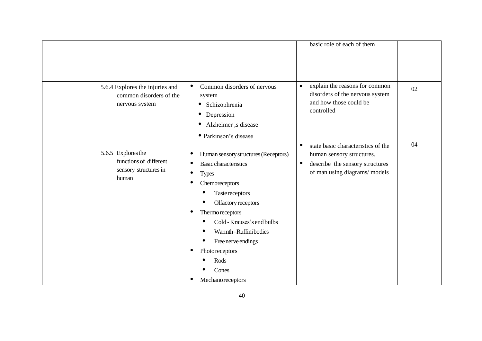|                                                                                |                                                                                                                                                                                                                                                                                                                                      | basic role of each of them                                                                                                                                   |    |
|--------------------------------------------------------------------------------|--------------------------------------------------------------------------------------------------------------------------------------------------------------------------------------------------------------------------------------------------------------------------------------------------------------------------------------|--------------------------------------------------------------------------------------------------------------------------------------------------------------|----|
| 5.6.4 Explores the injuries and<br>common disorders of the<br>nervous system   | Common disorders of nervous<br>$\bullet$<br>system<br>Schizophrenia<br>$\bullet$<br>Depression<br>٠<br>Alzheimer, s disease<br>$\bullet$<br>• Parkinson's disease                                                                                                                                                                    | explain the reasons for common<br>$\bullet$<br>disorders of the nervous system<br>and how those could be<br>controlled                                       | 02 |
| 5.6.5 Explores the<br>functions of different<br>sensory structures in<br>human | Human sensory structures (Receptors)<br><b>Basic characteristics</b><br>٠<br><b>Types</b><br>٠<br>Chemoreceptors<br><b>Tastereceptors</b><br>Olfactory receptors<br>Thermo receptors<br>Cold - Krauses's end bulbs<br>Warmth-Ruffinibodies<br>Free nerve endings<br>$\bullet$<br>Photoreceptors<br>Rods<br>Cones<br>Mechanoreceptors | state basic characteristics of the<br>$\bullet$<br>human sensory structures.<br>describe the sensory structures<br>$\bullet$<br>of man using diagrams/models | 04 |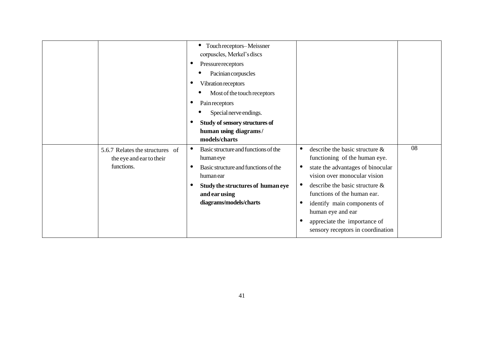|            |                                                             | Touch receptors-Meissner<br>$\bullet$<br>corpuscles, Merkel's discs<br>Pressurereceptors<br>Pacinian corpuscles<br>Vibration receptors<br>Most of the touch receptors<br>Pain receptors<br>Special nerve endings.<br>Study of sensory structures of<br>human using diagrams/<br>models/charts |                                                                                                                                                                                                                                                                                                                                                        |    |
|------------|-------------------------------------------------------------|-----------------------------------------------------------------------------------------------------------------------------------------------------------------------------------------------------------------------------------------------------------------------------------------------|--------------------------------------------------------------------------------------------------------------------------------------------------------------------------------------------------------------------------------------------------------------------------------------------------------------------------------------------------------|----|
| functions. | 5.6.7 Relates the structures of<br>the eye and ear to their | Basic structure and functions of the<br>$\bullet$<br>humaneye<br>Basic structure and functions of the<br>$\bullet$<br>human ear<br>Study the structures of human eye<br>and ear using<br>diagrams/models/charts                                                                               | describe the basic structure $\&$<br>$\bullet$<br>functioning of the human eye.<br>state the advantages of binocular<br>vision over monocular vision<br>describe the basic structure $\&$<br>functions of the human ear.<br>identify main components of<br>human eye and ear<br>appreciate the importance of<br>٠<br>sensory receptors in coordination | 08 |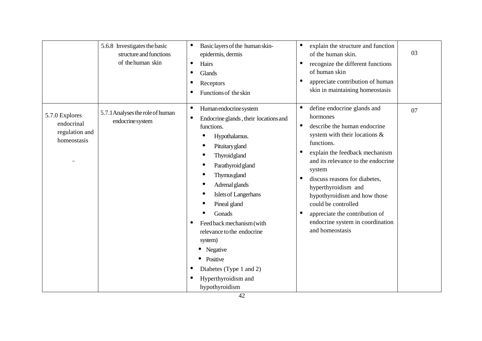|                                                               | 5.6.8 Investigates the basic<br>structure and functions<br>of the human skin | Basic layers of the human skin-<br>$\bullet$<br>epidermis, dermis<br>Hairs<br>$\bullet$<br>Glands<br>$\bullet$<br>Receptors<br>Functions of the skin                                                                                                                                                                                                                                                                                                                                                                | explain the structure and function<br>$\bullet$<br>of the human skin.<br>recognize the different functions<br>$\bullet$<br>of human skin<br>appreciate contribution of human<br>c<br>skin in maintaining homeostasis                                                                                                                                                                                                                          | 03 |
|---------------------------------------------------------------|------------------------------------------------------------------------------|---------------------------------------------------------------------------------------------------------------------------------------------------------------------------------------------------------------------------------------------------------------------------------------------------------------------------------------------------------------------------------------------------------------------------------------------------------------------------------------------------------------------|-----------------------------------------------------------------------------------------------------------------------------------------------------------------------------------------------------------------------------------------------------------------------------------------------------------------------------------------------------------------------------------------------------------------------------------------------|----|
| 5.7.0 Explores<br>endocrinal<br>regulation and<br>homeostasis | 5.7.1 Analyses the role of human<br>endocrine system                         | Human endocrine system<br>$\bullet$<br>Endocrine glands, their locations and<br>$\bullet$<br>functions.<br>Hypothalamus.<br>$\bullet$<br>Pituitary gland<br>Thyroidgland<br>$\bullet$<br>Parathyroid gland<br>Thymusgland<br>$\bullet$<br>Adrenal glands<br>Islets of Langerhans<br>$\bullet$<br>Pineal gland<br>Gonads<br>Feed back mechanism (with<br>$\bullet$<br>relevance to the endocrine<br>system)<br>Negative<br>$\bullet$<br>Positive<br>Diabetes (Type 1 and 2)<br>Hyperthyroidism and<br>hypothyroidism | define endocrine glands and<br>hormones<br>describe the human endocrine<br>$\bullet$<br>system with their locations $\&$<br>functions.<br>explain the feedback mechanism<br>and its relevance to the endocrine<br>system<br>discuss reasons for diabetes,<br>hyperthyroidism and<br>hypothyroidism and how those<br>could be controlled<br>appreciate the contribution of<br>$\bullet$<br>endocrine system in coordination<br>and homeostasis | 07 |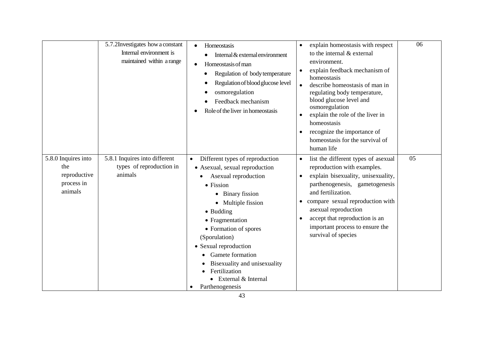|                                                                     | 5.7.2Investigates how a constant<br>Internal environment is<br>maintained within a range | Homeostasis<br>$\bullet$<br>Internal & external environment<br>Homeostasis of man<br>$\bullet$<br>Regulation of body temperature<br>Regulation of blood glucose level<br>osmoregulation<br>Feedback mechanism<br>Role of the liver in homeostasis                                                                                                                               | explain homeostasis with respect<br>$\bullet$<br>to the internal & external<br>environment.<br>explain feedback mechanism of<br>$\bullet$<br>homeostasis<br>describe homeostasis of man in<br>regulating body temperature,<br>blood glucose level and<br>osmoregulation<br>explain the role of the liver in<br>$\bullet$<br>homeostasis<br>recognize the importance of<br>$\bullet$<br>homeostasis for the survival of<br>human life | 06 |
|---------------------------------------------------------------------|------------------------------------------------------------------------------------------|---------------------------------------------------------------------------------------------------------------------------------------------------------------------------------------------------------------------------------------------------------------------------------------------------------------------------------------------------------------------------------|--------------------------------------------------------------------------------------------------------------------------------------------------------------------------------------------------------------------------------------------------------------------------------------------------------------------------------------------------------------------------------------------------------------------------------------|----|
| 5.8.0 Inquires into<br>the<br>reproductive<br>process in<br>animals | 5.8.1 Inquires into different<br>types of reproduction in<br>animals                     | Different types of reproduction<br>$\bullet$<br>• Asexual, sexual reproduction<br>Asexual reproduction<br>• Fission<br>• Binary fission<br>• Multiple fission<br>• Budding<br>• Fragmentation<br>• Formation of spores<br>(Sporulation)<br>• Sexual reproduction<br>Gamete formation<br>Bisexuality and unisexuality<br>Fertilization<br>External & Internal<br>Parthenogenesis | list the different types of asexual<br>$\bullet$<br>reproduction with examples.<br>explain bisexuality, unisexuality,<br>$\bullet$<br>parthenogenesis, gametogenesis<br>and fertilization.<br>compare sexual reproduction with<br>asexual reproduction<br>accept that reproduction is an<br>important process to ensure the<br>survival of species                                                                                   | 05 |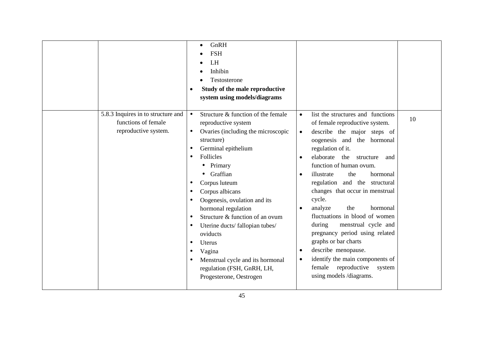|                                                                                   | GnRH<br>$\bullet$<br><b>FSH</b><br>LH<br>Inhibin<br>Testosterone<br>Study of the male reproductive<br>system using models/diagrams                                                                                                                                                                                                                                                                                                                                                                |                                                                                                                                                                                                                                                                                                                                                                                                                                                                                                                                                                                                                                                                                                                  |    |
|-----------------------------------------------------------------------------------|---------------------------------------------------------------------------------------------------------------------------------------------------------------------------------------------------------------------------------------------------------------------------------------------------------------------------------------------------------------------------------------------------------------------------------------------------------------------------------------------------|------------------------------------------------------------------------------------------------------------------------------------------------------------------------------------------------------------------------------------------------------------------------------------------------------------------------------------------------------------------------------------------------------------------------------------------------------------------------------------------------------------------------------------------------------------------------------------------------------------------------------------------------------------------------------------------------------------------|----|
| 5.8.3 Inquires in to structure and<br>functions of female<br>reproductive system. | Structure & function of the female<br>$\bullet$<br>reproductive system<br>Ovaries (including the microscopic<br>$\bullet$<br>structure)<br>Germinal epithelium<br>Follicles<br>• Primary<br>Graffian<br>Corpus luteum<br>Corpus albicans<br>Oogenesis, ovulation and its<br>hormonal regulation<br>Structure & function of an ovum<br>Uterine ducts/fallopian tubes/<br>oviducts<br>Uterus<br>Vagina<br>Menstrual cycle and its hormonal<br>regulation (FSH, GnRH, LH,<br>Progesterone, Oestrogen | list the structures and functions<br>$\bullet$<br>of female reproductive system.<br>describe the major steps of<br>$\bullet$<br>oogenesis and the hormonal<br>regulation of it.<br>elaborate<br>the structure<br>and<br>$\bullet$<br>function of human ovum.<br>illustrate<br>the<br>hormonal<br>$\bullet$<br>regulation and the structural<br>changes that occur in menstrual<br>cycle.<br>analyze<br>the<br>hormonal<br>$\bullet$<br>fluctuations in blood of women<br>during<br>menstrual cycle and<br>pregnancy period using related<br>graphs or bar charts<br>describe menopause.<br>$\bullet$<br>identify the main components of<br>$\bullet$<br>female reproductive<br>system<br>using models /diagrams. | 10 |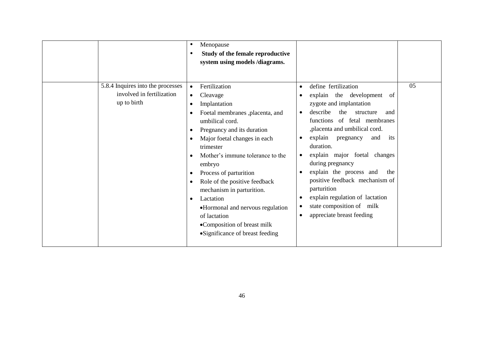|                                                                               | Menopause<br>Study of the female reproductive<br>system using models /diagrams.                                                                                                                                                                                                                                                                                                                                                                                                                          |                                                                                                                                                                                                                                                                                                                                                                                                                                                                                                                                                                                                   | 05 |
|-------------------------------------------------------------------------------|----------------------------------------------------------------------------------------------------------------------------------------------------------------------------------------------------------------------------------------------------------------------------------------------------------------------------------------------------------------------------------------------------------------------------------------------------------------------------------------------------------|---------------------------------------------------------------------------------------------------------------------------------------------------------------------------------------------------------------------------------------------------------------------------------------------------------------------------------------------------------------------------------------------------------------------------------------------------------------------------------------------------------------------------------------------------------------------------------------------------|----|
| 5.8.4 Inquires into the processes<br>involved in fertilization<br>up to birth | Fertilization<br>$\bullet$<br>Cleavage<br>$\bullet$<br>Implantation<br>$\bullet$<br>Foetal membranes ,placenta, and<br>umbilical cord.<br>Pregnancy and its duration<br>Major foetal changes in each<br>trimester<br>Mother's immune tolerance to the<br>embryo<br>Process of parturition<br>Role of the positive feedback<br>mechanism in parturition.<br>Lactation<br>$\bullet$<br>•Hormonal and nervous regulation<br>of lactation<br>•Composition of breast milk<br>• Significance of breast feeding | define fertilization<br>$\bullet$<br>explain the development<br>of<br>$\bullet$<br>zygote and implantation<br>describe<br>the<br>structure<br>and<br>$\bullet$<br>functions of fetal membranes<br>,placenta and umbilical cord.<br>explain pregnancy<br>and<br>its<br>$\bullet$<br>duration.<br>explain major foetal changes<br>$\bullet$<br>during pregnancy<br>explain the process and<br>the<br>$\bullet$<br>positive feedback mechanism of<br>parturition<br>explain regulation of lactation<br>$\bullet$<br>state composition of milk<br>$\bullet$<br>appreciate breast feeding<br>$\bullet$ |    |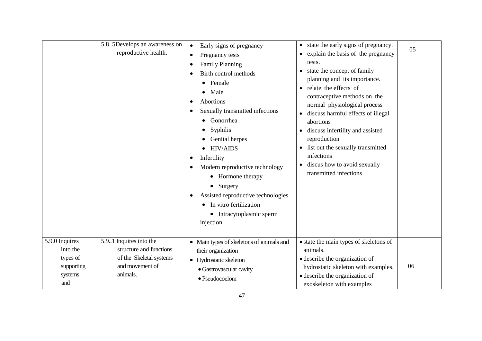|                                                                        | 5.8. 5Develops an awareness on<br>reproductive health.                                                       | Early signs of pregnancy<br>$\bullet$<br>Pregnancy tests<br><b>Family Planning</b><br>Birth control methods<br>Female<br>Male<br>Abortions<br>Sexually transmitted infections<br>Gonorrhea<br>Syphilis<br>Genital herpes<br><b>HIV/AIDS</b><br>$\bullet$<br>Infertility<br>Modern reproductive technology<br>• Hormone therapy<br>• Surgery<br>Assisted reproductive technologies<br>In vitro fertilization<br>$\bullet$<br>• Intracytoplasmic sperm<br>injection | state the early signs of pregnancy.<br>$\bullet$<br>explain the basis of the pregnancy<br>tests.<br>state the concept of family<br>planning and its importance.<br>relate the effects of<br>contraceptive methods on the<br>normal physiological process<br>discuss harmful effects of illegal<br>abortions<br>discuss infertility and assisted<br>reproduction<br>list out the sexually transmitted<br>$\bullet$<br>infections<br>discus how to avoid sexually<br>transmitted infections | 05 |
|------------------------------------------------------------------------|--------------------------------------------------------------------------------------------------------------|-------------------------------------------------------------------------------------------------------------------------------------------------------------------------------------------------------------------------------------------------------------------------------------------------------------------------------------------------------------------------------------------------------------------------------------------------------------------|-------------------------------------------------------------------------------------------------------------------------------------------------------------------------------------------------------------------------------------------------------------------------------------------------------------------------------------------------------------------------------------------------------------------------------------------------------------------------------------------|----|
| 5.9.0 Inquires<br>into the<br>types of<br>supporting<br>systems<br>and | 5.9.1 Inquires into the<br>structure and functions<br>of the Skeletal systems<br>and movement of<br>animals. | • Main types of skeletons of animals and<br>their organization<br>• Hydrostatic skeleton<br>• Gastrovascular cavity<br>$\bullet$ Pseudocoelom                                                                                                                                                                                                                                                                                                                     | • state the main types of skeletons of<br>animals.<br>• describe the organization of<br>hydrostatic skeleton with examples.<br>· describe the organization of<br>exoskeleton with examples                                                                                                                                                                                                                                                                                                | 06 |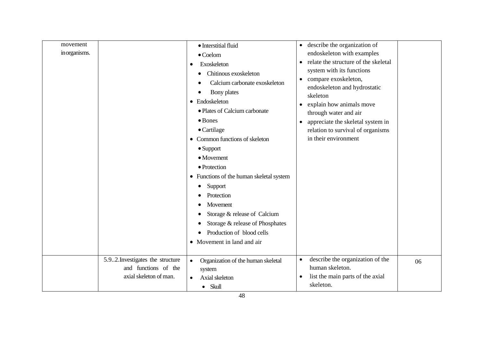| movement<br>in organisms. |                                  | · Interstitial fluid<br>$\bullet$ Coelom<br>Exoskeleton<br>$\bullet$<br>Chitinous exoskeleton<br>$\bullet$<br>Calcium carbonate exoskeleton<br>Bony plates<br>• Endoskeleton<br>• Plates of Calcium carbonate<br>$\bullet$ Bones<br>$\bullet$ Cartilage<br>• Common functions of skeleton<br>$\bullet$ Support<br>$\bullet$ Movement<br>• Protection<br>• Functions of the human skeletal system<br>Support<br>٠<br>Protection | describe the organization of<br>$\bullet$<br>endoskeleton with examples<br>relate the structure of the skeletal<br>$\bullet$<br>system with its functions<br>compare exoskeleton,<br>$\bullet$<br>endoskeleton and hydrostatic<br>skeleton<br>explain how animals move<br>$\bullet$<br>through water and air<br>appreciate the skeletal system in<br>$\bullet$<br>relation to survival of organisms<br>in their environment |    |
|---------------------------|----------------------------------|--------------------------------------------------------------------------------------------------------------------------------------------------------------------------------------------------------------------------------------------------------------------------------------------------------------------------------------------------------------------------------------------------------------------------------|-----------------------------------------------------------------------------------------------------------------------------------------------------------------------------------------------------------------------------------------------------------------------------------------------------------------------------------------------------------------------------------------------------------------------------|----|
|                           |                                  |                                                                                                                                                                                                                                                                                                                                                                                                                                |                                                                                                                                                                                                                                                                                                                                                                                                                             |    |
|                           |                                  |                                                                                                                                                                                                                                                                                                                                                                                                                                |                                                                                                                                                                                                                                                                                                                                                                                                                             |    |
|                           |                                  |                                                                                                                                                                                                                                                                                                                                                                                                                                |                                                                                                                                                                                                                                                                                                                                                                                                                             |    |
|                           |                                  |                                                                                                                                                                                                                                                                                                                                                                                                                                |                                                                                                                                                                                                                                                                                                                                                                                                                             |    |
|                           |                                  |                                                                                                                                                                                                                                                                                                                                                                                                                                |                                                                                                                                                                                                                                                                                                                                                                                                                             |    |
|                           |                                  |                                                                                                                                                                                                                                                                                                                                                                                                                                |                                                                                                                                                                                                                                                                                                                                                                                                                             |    |
|                           |                                  |                                                                                                                                                                                                                                                                                                                                                                                                                                |                                                                                                                                                                                                                                                                                                                                                                                                                             |    |
|                           |                                  |                                                                                                                                                                                                                                                                                                                                                                                                                                |                                                                                                                                                                                                                                                                                                                                                                                                                             |    |
|                           |                                  |                                                                                                                                                                                                                                                                                                                                                                                                                                |                                                                                                                                                                                                                                                                                                                                                                                                                             |    |
|                           |                                  |                                                                                                                                                                                                                                                                                                                                                                                                                                |                                                                                                                                                                                                                                                                                                                                                                                                                             |    |
|                           |                                  |                                                                                                                                                                                                                                                                                                                                                                                                                                |                                                                                                                                                                                                                                                                                                                                                                                                                             |    |
|                           |                                  |                                                                                                                                                                                                                                                                                                                                                                                                                                |                                                                                                                                                                                                                                                                                                                                                                                                                             |    |
|                           |                                  |                                                                                                                                                                                                                                                                                                                                                                                                                                |                                                                                                                                                                                                                                                                                                                                                                                                                             |    |
|                           |                                  |                                                                                                                                                                                                                                                                                                                                                                                                                                |                                                                                                                                                                                                                                                                                                                                                                                                                             |    |
|                           |                                  |                                                                                                                                                                                                                                                                                                                                                                                                                                |                                                                                                                                                                                                                                                                                                                                                                                                                             |    |
|                           |                                  | Movement                                                                                                                                                                                                                                                                                                                                                                                                                       |                                                                                                                                                                                                                                                                                                                                                                                                                             |    |
|                           |                                  | Storage & release of Calcium<br>€                                                                                                                                                                                                                                                                                                                                                                                              |                                                                                                                                                                                                                                                                                                                                                                                                                             |    |
|                           |                                  | Storage & release of Phosphates<br>€                                                                                                                                                                                                                                                                                                                                                                                           |                                                                                                                                                                                                                                                                                                                                                                                                                             |    |
|                           |                                  | Production of blood cells<br>$\bullet$                                                                                                                                                                                                                                                                                                                                                                                         |                                                                                                                                                                                                                                                                                                                                                                                                                             |    |
|                           |                                  | • Movement in land and air                                                                                                                                                                                                                                                                                                                                                                                                     |                                                                                                                                                                                                                                                                                                                                                                                                                             |    |
|                           |                                  |                                                                                                                                                                                                                                                                                                                                                                                                                                |                                                                                                                                                                                                                                                                                                                                                                                                                             |    |
|                           | 5.92. Investigates the structure | Organization of the human skeletal<br>$\bullet$                                                                                                                                                                                                                                                                                                                                                                                | describe the organization of the<br>$\bullet$                                                                                                                                                                                                                                                                                                                                                                               | 06 |
|                           | and functions of the             | system                                                                                                                                                                                                                                                                                                                                                                                                                         | human skeleton.                                                                                                                                                                                                                                                                                                                                                                                                             |    |
|                           | axial skeleton of man.           | Axial skeleton<br>$\bullet$                                                                                                                                                                                                                                                                                                                                                                                                    | list the main parts of the axial<br>$\bullet$                                                                                                                                                                                                                                                                                                                                                                               |    |
|                           |                                  | $\bullet$ Skull                                                                                                                                                                                                                                                                                                                                                                                                                | skeleton.                                                                                                                                                                                                                                                                                                                                                                                                                   |    |
|                           |                                  |                                                                                                                                                                                                                                                                                                                                                                                                                                |                                                                                                                                                                                                                                                                                                                                                                                                                             |    |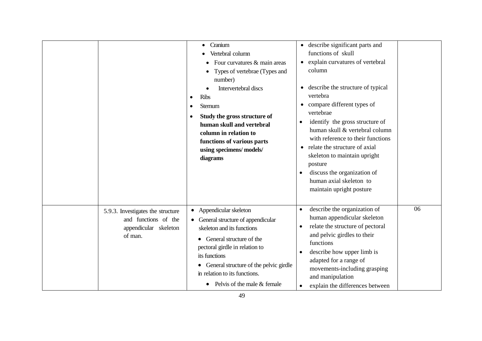|                                                                                               | Cranium<br>Vertebral column<br>Four curvatures & main areas<br>Types of vertebrae (Types and<br>number)<br>Intervertebral discs<br><b>Ribs</b><br>Sternum<br>Study the gross structure of<br>human skull and vertebral<br>column in relation to<br>functions of various parts<br>using specimens/models/<br>diagrams     | • describe significant parts and<br>functions of skull<br>explain curvatures of vertebral<br>column<br>• describe the structure of typical<br>vertebra<br>compare different types of<br>$\bullet$<br>vertebrae<br>identify the gross structure of<br>٠<br>human skull & vertebral column<br>with reference to their functions<br>relate the structure of axial<br>skeleton to maintain upright<br>posture<br>discuss the organization of<br>human axial skeleton to<br>maintain upright posture |    |
|-----------------------------------------------------------------------------------------------|--------------------------------------------------------------------------------------------------------------------------------------------------------------------------------------------------------------------------------------------------------------------------------------------------------------------------|-------------------------------------------------------------------------------------------------------------------------------------------------------------------------------------------------------------------------------------------------------------------------------------------------------------------------------------------------------------------------------------------------------------------------------------------------------------------------------------------------|----|
| 5.9.3. Investigates the structure<br>and functions of the<br>appendicular skeleton<br>of man. | Appendicular skeleton<br>$\bullet$<br>General structure of appendicular<br>$\bullet$<br>skeleton and its functions<br>General structure of the<br>pectoral girdle in relation to<br>its functions<br>General structure of the pelvic girdle<br>in relation to its functions.<br>Pelvis of the male & female<br>$\bullet$ | describe the organization of<br>$\bullet$<br>human appendicular skeleton<br>relate the structure of pectoral<br>$\bullet$<br>and pelvic girdles to their<br>functions<br>describe how upper limb is<br>$\bullet$<br>adapted for a range of<br>movements-including grasping<br>and manipulation<br>explain the differences between                                                                                                                                                               | 06 |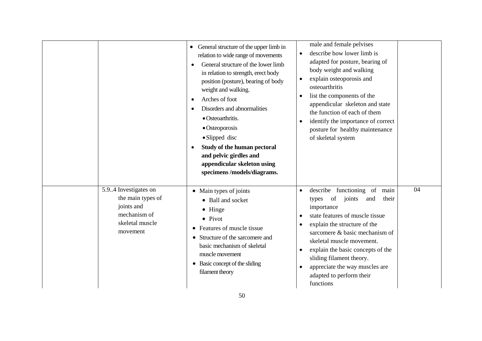|                                                                                                         | • General structure of the upper limb in<br>relation to wide range of movements<br>General structure of the lower limb<br>in relation to strength, erect body<br>position (posture), bearing of body<br>weight and walking.<br>Arches of foot<br>Disorders and abnormalities<br>· Osteoarthritis.<br>$\bullet$ Osteoporosis<br>$\bullet$ Slipped disc<br>Study of the human pectoral<br>and pelvic girdles and<br>appendicular skeleton using<br>specimens/models/diagrams. | male and female pelvises<br>describe how lower limb is<br>$\bullet$<br>adapted for posture, bearing of<br>body weight and walking<br>explain osteoporosis and<br>osteoarthritis<br>list the components of the<br>$\bullet$<br>appendicular skeleton and state<br>the function of each of them<br>identify the importance of correct<br>$\bullet$<br>posture for healthy maintenance<br>of skeletal system                             |    |
|---------------------------------------------------------------------------------------------------------|-----------------------------------------------------------------------------------------------------------------------------------------------------------------------------------------------------------------------------------------------------------------------------------------------------------------------------------------------------------------------------------------------------------------------------------------------------------------------------|---------------------------------------------------------------------------------------------------------------------------------------------------------------------------------------------------------------------------------------------------------------------------------------------------------------------------------------------------------------------------------------------------------------------------------------|----|
| 5.9.4 Investigates on<br>the main types of<br>joints and<br>mechanism of<br>skeletal muscle<br>movement | • Main types of joints<br>• Ball and socket<br>$\bullet$ Hinge<br>$\bullet$ Pivot<br>Features of muscle tissue<br>$\bullet$<br>Structure of the sarcomere and<br>$\bullet$<br>basic mechanism of skeletal<br>muscle movement<br>• Basic concept of the sliding<br>filament theory                                                                                                                                                                                           | describe functioning of<br>main<br>$\bullet$<br>of<br>joints<br>and<br>their<br>types<br>importance<br>state features of muscle tissue<br>$\bullet$<br>explain the structure of the<br>$\bullet$<br>sarcomere & basic mechanism of<br>skeletal muscle movement.<br>explain the basic concepts of the<br>$\bullet$<br>sliding filament theory.<br>appreciate the way muscles are<br>$\bullet$<br>adapted to perform their<br>functions | 04 |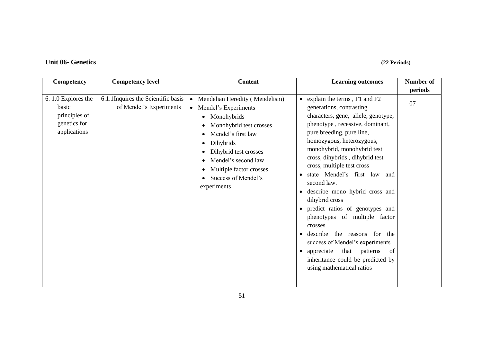# **Unit 06- Genetics (22 Periods)**

| Competency                                                                   | <b>Competency level</b>                                       | <b>Content</b>                                                                                                                                                                                                                                                                                   | <b>Learning outcomes</b>                                                                                                                                                                                                                                                                                                                                                                                                                                                                                                                                                                                                                                               | <b>Number of</b> |
|------------------------------------------------------------------------------|---------------------------------------------------------------|--------------------------------------------------------------------------------------------------------------------------------------------------------------------------------------------------------------------------------------------------------------------------------------------------|------------------------------------------------------------------------------------------------------------------------------------------------------------------------------------------------------------------------------------------------------------------------------------------------------------------------------------------------------------------------------------------------------------------------------------------------------------------------------------------------------------------------------------------------------------------------------------------------------------------------------------------------------------------------|------------------|
|                                                                              |                                                               |                                                                                                                                                                                                                                                                                                  |                                                                                                                                                                                                                                                                                                                                                                                                                                                                                                                                                                                                                                                                        | periods          |
| 6.1.0 Explores the<br>basic<br>principles of<br>genetics for<br>applications | 6.1.1Inquires the Scientific basis<br>of Mendel's Experiments | Mendelian Heredity (Mendelism)<br>$\bullet$<br>Mendel's Experiments<br>$\bullet$<br>Monohybrids<br>$\bullet$<br>Monohybrid test crosses<br>Mendel's first law<br>Dihybrids<br>Dihybrid test crosses<br>Mendel's second law<br>Multiple factor crosses<br>Success of Mendel's<br>٠<br>experiments | • explain the terms, $F1$ and $F2$<br>generations, contrasting<br>characters, gene, allele, genotype,<br>phenotype, recessive, dominant,<br>pure breeding, pure line,<br>homozygous, heterozygous,<br>monohybrid, monohybrid test<br>cross, dihybrids, dihybrid test<br>cross, multiple test cross<br>state Mendel's first law and<br>second law.<br>describe mono hybrid cross and<br>dihybrid cross<br>• predict ratios of genotypes and<br>phenotypes of multiple factor<br>crosses<br>describe<br>the reasons for the<br>success of Mendel's experiments<br>that<br>appreciate<br>patterns<br>of<br>inheritance could be predicted by<br>using mathematical ratios | 07               |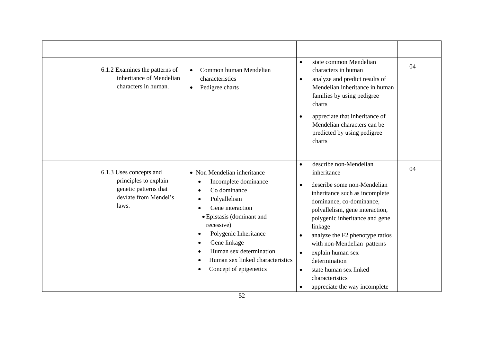| 6.1.2 Examines the patterns of<br>inheritance of Mendelian<br>characters in human.                          | Common human Mendelian<br>characteristics<br>Pedigree charts<br>$\bullet$                                                                                                                                                                                                                                                                                                                    | state common Mendelian<br>$\bullet$<br>characters in human<br>analyze and predict results of<br>$\bullet$<br>Mendelian inheritance in human<br>families by using pedigree<br>charts<br>appreciate that inheritance of<br>$\bullet$<br>Mendelian characters can be<br>predicted by using pedigree<br>charts                                                                                                                                                                             | 04 |
|-------------------------------------------------------------------------------------------------------------|----------------------------------------------------------------------------------------------------------------------------------------------------------------------------------------------------------------------------------------------------------------------------------------------------------------------------------------------------------------------------------------------|----------------------------------------------------------------------------------------------------------------------------------------------------------------------------------------------------------------------------------------------------------------------------------------------------------------------------------------------------------------------------------------------------------------------------------------------------------------------------------------|----|
| 6.1.3 Uses concepts and<br>principles to explain<br>genetic patterns that<br>deviate from Mendel's<br>laws. | • Non Mendelian inheritance<br>Incomplete dominance<br>$\bullet$<br>Co dominance<br>$\bullet$<br>Polyallelism<br>$\bullet$<br>Gene interaction<br>$\bullet$<br>· Epistasis (dominant and<br>recessive)<br>Polygenic Inheritance<br>$\bullet$<br>Gene linkage<br>$\bullet$<br>Human sex determination<br>$\bullet$<br>Human sex linked characteristics<br>$\bullet$<br>Concept of epigenetics | describe non-Mendelian<br>$\bullet$<br>inheritance<br>describe some non-Mendelian<br>$\bullet$<br>inheritance such as incomplete<br>dominance, co-dominance,<br>polyallelism, gene interaction,<br>polygenic inheritance and gene<br>linkage<br>analyze the F2 phenotype ratios<br>$\bullet$<br>with non-Mendelian patterns<br>explain human sex<br>$\bullet$<br>determination<br>state human sex linked<br>$\bullet$<br>characteristics<br>appreciate the way incomplete<br>$\bullet$ | 04 |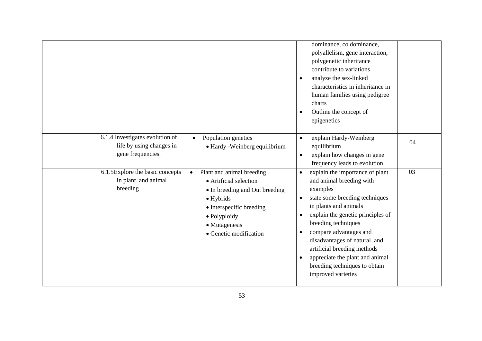|                                                                                  |                                                                                                                                                                                                                | dominance, co dominance,<br>polyallelism, gene interaction,<br>polygenetic inheritance<br>contribute to variations<br>analyze the sex-linked<br>$\bullet$<br>characteristics in inheritance in<br>human families using pedigree<br>charts<br>Outline the concept of<br>$\bullet$<br>epigenetics                                                                                                                                                    |    |
|----------------------------------------------------------------------------------|----------------------------------------------------------------------------------------------------------------------------------------------------------------------------------------------------------------|----------------------------------------------------------------------------------------------------------------------------------------------------------------------------------------------------------------------------------------------------------------------------------------------------------------------------------------------------------------------------------------------------------------------------------------------------|----|
| 6.1.4 Investigates evolution of<br>life by using changes in<br>gene frequencies. | Population genetics<br>$\bullet$<br>• Hardy -Weinberg equilibrium                                                                                                                                              | explain Hardy-Weinberg<br>$\bullet$<br>equilibrium<br>explain how changes in gene<br>$\bullet$<br>frequency leads to evolution                                                                                                                                                                                                                                                                                                                     | 04 |
| $6.1.5$ Explore the basic concepts<br>in plant and animal<br>breeding            | Plant and animal breeding<br>$\bullet$<br>• Artificial selection<br>• In breeding and Out breeding<br>$\bullet$ Hybrids<br>• Interspecific breeding<br>· Polyploidy<br>• Mutagenesis<br>• Genetic modification | explain the importance of plant<br>$\bullet$<br>and animal breeding with<br>examples<br>state some breeding techniques<br>$\bullet$<br>in plants and animals<br>explain the genetic principles of<br>$\bullet$<br>breeding techniques<br>compare advantages and<br>$\bullet$<br>disadvantages of natural and<br>artificial breeding methods<br>appreciate the plant and animal<br>$\bullet$<br>breeding techniques to obtain<br>improved varieties | 03 |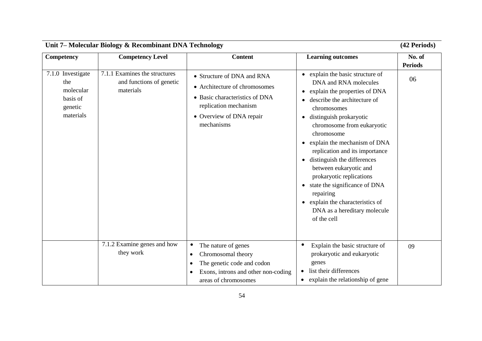| Unit 7- Molecular Biology & Recombinant DNA Technology                    |                                                                                     |                                                                                                                                                                  | (42 Periods)                                                                                                                                                                                                                                                                                                                                                                                                                                                                                                                     |                          |
|---------------------------------------------------------------------------|-------------------------------------------------------------------------------------|------------------------------------------------------------------------------------------------------------------------------------------------------------------|----------------------------------------------------------------------------------------------------------------------------------------------------------------------------------------------------------------------------------------------------------------------------------------------------------------------------------------------------------------------------------------------------------------------------------------------------------------------------------------------------------------------------------|--------------------------|
| Competency                                                                | <b>Competency Level</b>                                                             | <b>Content</b>                                                                                                                                                   | <b>Learning outcomes</b>                                                                                                                                                                                                                                                                                                                                                                                                                                                                                                         | No. of<br><b>Periods</b> |
| 7.1.0 Investigate<br>the<br>molecular<br>basis of<br>genetic<br>materials | $\overline{7.1.1}$ Examines the structures<br>and functions of genetic<br>materials | • Structure of DNA and RNA<br>• Architecture of chromosomes<br>• Basic characteristics of DNA<br>replication mechanism<br>• Overview of DNA repair<br>mechanisms | • explain the basic structure of<br>DNA and RNA molecules<br>explain the properties of DNA<br>describe the architecture of<br>chromosomes<br>distinguish prokaryotic<br>$\bullet$<br>chromosome from eukaryotic<br>chromosome<br>explain the mechanism of DNA<br>replication and its importance<br>distinguish the differences<br>between eukaryotic and<br>prokaryotic replications<br>state the significance of DNA<br>repairing<br>explain the characteristics of<br>$\bullet$<br>DNA as a hereditary molecule<br>of the cell | 06                       |
|                                                                           | 7.1.2 Examine genes and how<br>they work                                            | The nature of genes<br>$\bullet$<br>Chromosomal theory<br>$\bullet$<br>The genetic code and codon                                                                | Explain the basic structure of<br>prokaryotic and eukaryotic<br>genes                                                                                                                                                                                                                                                                                                                                                                                                                                                            | 09                       |
|                                                                           |                                                                                     | Exons, introns and other non-coding<br>areas of chromosomes                                                                                                      | list their differences<br>explain the relationship of gene<br>$\bullet$                                                                                                                                                                                                                                                                                                                                                                                                                                                          |                          |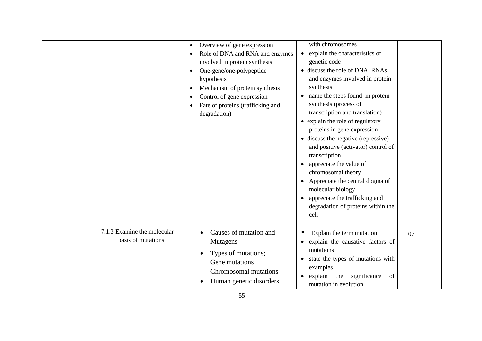|                                                   | Overview of gene expression<br>Role of DNA and RNA and enzymes<br>$\bullet$<br>involved in protein synthesis<br>One-gene/one-polypeptide<br>hypothesis<br>Mechanism of protein synthesis<br>Control of gene expression<br>Fate of proteins (trafficking and<br>degradation) | with chromosomes<br>explain the characteristics of<br>$\bullet$<br>genetic code<br>• discuss the role of DNA, RNAs<br>and enzymes involved in protein<br>synthesis<br>name the steps found in protein<br>synthesis (process of<br>transcription and translation)<br>• explain the role of regulatory<br>proteins in gene expression<br>• discuss the negative (repressive)<br>and positive (activator) control of<br>transcription<br>appreciate the value of<br>$\bullet$<br>chromosomal theory<br>Appreciate the central dogma of<br>molecular biology<br>appreciate the trafficking and<br>$\bullet$<br>degradation of proteins within the<br>cell |    |
|---------------------------------------------------|-----------------------------------------------------------------------------------------------------------------------------------------------------------------------------------------------------------------------------------------------------------------------------|-------------------------------------------------------------------------------------------------------------------------------------------------------------------------------------------------------------------------------------------------------------------------------------------------------------------------------------------------------------------------------------------------------------------------------------------------------------------------------------------------------------------------------------------------------------------------------------------------------------------------------------------------------|----|
| 7.1.3 Examine the molecular<br>basis of mutations | Causes of mutation and<br><b>Mutagens</b><br>Types of mutations;<br>Gene mutations<br>Chromosomal mutations<br>Human genetic disorders                                                                                                                                      | Explain the term mutation<br>$\bullet$<br>explain the causative factors of<br>mutations<br>state the types of mutations with<br>$\bullet$<br>examples<br>explain the<br>significance<br>of<br>$\bullet$<br>mutation in evolution                                                                                                                                                                                                                                                                                                                                                                                                                      | 07 |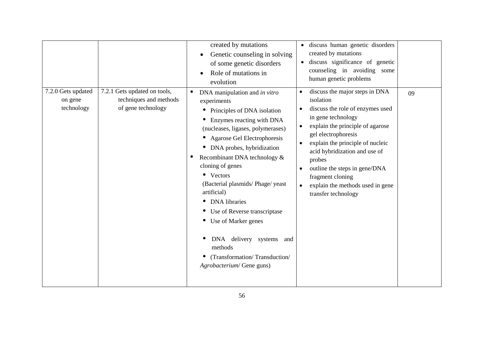| 7.2.0 Gets updated<br>on gene<br>technology | 7.2.1 Gets updated on tools,<br>techniques and methods<br>of gene technology | created by mutations<br>Genetic counseling in solving<br>of some genetic disorders<br>Role of mutations in<br>evolution<br>DNA manipulation and in vitro<br>$\bullet$<br>experiments<br>Principles of DNA isolation<br>$\bullet$<br>Enzymes reacting with DNA<br>$\bullet$<br>(nucleases, ligases, polymerases)<br>• Agarose Gel Electrophoresis<br>DNA probes, hybridization<br>$\bullet$<br>Recombinant DNA technology &<br>cloning of genes<br>• Vectors<br>(Bacterial plasmids/Phage/yeast<br>artificial)<br><b>DNA</b> libraries<br>$\bullet$<br>Use of Reverse transcriptase<br>$\bullet$<br>Use of Marker genes<br>$\bullet$<br>DNA delivery systems and<br>methods<br>(Transformation/Transduction/<br>Agrobacterium/ Gene guns) | · discuss human genetic disorders<br>created by mutations<br>discuss significance of genetic<br>counseling in avoiding some<br>human genetic problems<br>discuss the major steps in DNA<br>$\bullet$<br>isolation<br>discuss the role of enzymes used<br>$\bullet$<br>in gene technology<br>explain the principle of agarose<br>$\bullet$<br>gel electrophoresis<br>explain the principle of nucleic<br>$\bullet$<br>acid hybridization and use of<br>probes<br>outline the steps in gene/DNA<br>$\bullet$<br>fragment cloning<br>explain the methods used in gene<br>transfer technology | 09 |
|---------------------------------------------|------------------------------------------------------------------------------|------------------------------------------------------------------------------------------------------------------------------------------------------------------------------------------------------------------------------------------------------------------------------------------------------------------------------------------------------------------------------------------------------------------------------------------------------------------------------------------------------------------------------------------------------------------------------------------------------------------------------------------------------------------------------------------------------------------------------------------|-------------------------------------------------------------------------------------------------------------------------------------------------------------------------------------------------------------------------------------------------------------------------------------------------------------------------------------------------------------------------------------------------------------------------------------------------------------------------------------------------------------------------------------------------------------------------------------------|----|
|---------------------------------------------|------------------------------------------------------------------------------|------------------------------------------------------------------------------------------------------------------------------------------------------------------------------------------------------------------------------------------------------------------------------------------------------------------------------------------------------------------------------------------------------------------------------------------------------------------------------------------------------------------------------------------------------------------------------------------------------------------------------------------------------------------------------------------------------------------------------------------|-------------------------------------------------------------------------------------------------------------------------------------------------------------------------------------------------------------------------------------------------------------------------------------------------------------------------------------------------------------------------------------------------------------------------------------------------------------------------------------------------------------------------------------------------------------------------------------------|----|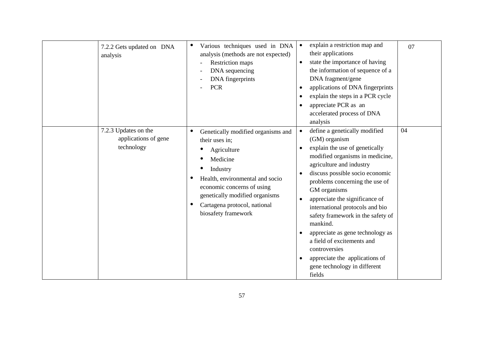| 7.2.2 Gets updated on DNA<br>analysis                      | Various techniques used in DNA<br>$\bullet$<br>analysis (methods are not expected)<br>Restriction maps<br>DNA sequencing<br>DNA fingerprints<br><b>PCR</b>                                                                                                 | explain a restriction map and<br>their applications<br>state the importance of having<br>$\bullet$<br>the information of sequence of a<br>DNA fragment/gene<br>applications of DNA fingerprints<br>$\bullet$<br>explain the steps in a PCR cycle<br>$\bullet$<br>appreciate PCR as an<br>$\bullet$<br>accelerated process of DNA<br>analysis                                                                                                                                                                                                                                  | 07 |
|------------------------------------------------------------|------------------------------------------------------------------------------------------------------------------------------------------------------------------------------------------------------------------------------------------------------------|-------------------------------------------------------------------------------------------------------------------------------------------------------------------------------------------------------------------------------------------------------------------------------------------------------------------------------------------------------------------------------------------------------------------------------------------------------------------------------------------------------------------------------------------------------------------------------|----|
| 7.2.3 Updates on the<br>applications of gene<br>technology | Genetically modified organisms and<br>٠<br>their uses in;<br>Agriculture<br>Medicine<br>Industry<br>Health, environmental and socio<br>economic concerns of using<br>genetically modified organisms<br>Cartagena protocol, national<br>biosafety framework | define a genetically modified<br>$\bullet$<br>(GM) organism<br>explain the use of genetically<br>$\bullet$<br>modified organisms in medicine,<br>agriculture and industry<br>discuss possible socio economic<br>$\bullet$<br>problems concerning the use of<br>GM organisms<br>appreciate the significance of<br>$\bullet$<br>international protocols and bio<br>safety framework in the safety of<br>mankind.<br>appreciate as gene technology as<br>a field of excitements and<br>controversies<br>appreciate the applications of<br>gene technology in different<br>fields | 04 |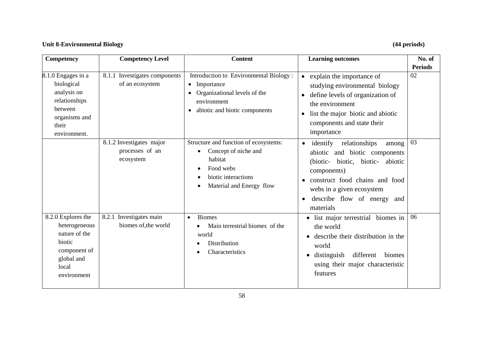## **Unit 8-Environmental Biology (44 periods)**

| Competency                                                                                                            | <b>Competency Level</b>                                  | <b>Content</b>                                                                                                                                                              | <b>Learning outcomes</b>                                                                                                                                                                                                                                    | No. of         |
|-----------------------------------------------------------------------------------------------------------------------|----------------------------------------------------------|-----------------------------------------------------------------------------------------------------------------------------------------------------------------------------|-------------------------------------------------------------------------------------------------------------------------------------------------------------------------------------------------------------------------------------------------------------|----------------|
|                                                                                                                       |                                                          |                                                                                                                                                                             |                                                                                                                                                                                                                                                             | <b>Periods</b> |
| 8.1.0 Engages in a<br>biological<br>analysis on<br>relationships<br>between<br>organisms and<br>their<br>environment. | 8.1.1<br>Investigates components<br>of an ecosystem      | Introduction to Environmental Biology:<br>Importance<br>$\bullet$<br>Organizational levels of the<br>$\bullet$<br>environment<br>abiotic and biotic components<br>$\bullet$ | • explain the importance of<br>studying environmental biology<br>define levels of organization of<br>the environment<br>list the major biotic and abiotic<br>components and state their<br>importance                                                       | 02             |
|                                                                                                                       | 8.1.2 Investigates major<br>processes of an<br>ecosystem | Structure and function of ecosystems:<br>Concept of niche and<br>$\bullet$<br>habitat<br>Food webs<br>$\bullet$<br>biotic interactions<br>Material and Energy flow<br>٠     | identify relationships<br>among<br>$\bullet$<br>abiotic and biotic components<br>(biotic- biotic, biotic-<br>abiotic<br>components)<br>construct food chains and food<br>webs in a given ecosystem<br>describe flow of energy and<br>$\bullet$<br>materials | 03             |
| 8.2.0 Explores the<br>heterogeneous<br>nature of the<br>biotic<br>component of<br>global and<br>local<br>environment  | 8.2.1 Investigates main<br>biomes of, the world          | <b>Biomes</b><br>$\bullet$<br>Main terrestrial biomes of the<br>world<br>Distribution<br>٠<br>Characteristics<br>$\bullet$                                                  | biomes in<br>list major terrestrial<br>the world<br>describe their distribution in the<br>world<br>different<br>distinguish<br>biomes<br>using their major characteristic<br>features                                                                       | 06             |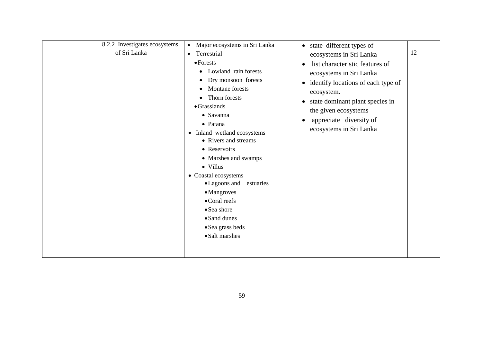| 8.2.2 Investigates ecosystems<br>of Sri Lanka | Major ecosystems in Sri Lanka<br>$\bullet$<br>Terrestrial<br>$\bullet$ Forests<br>Lowland rain forests<br>Dry monsoon forests<br>Montane forests                                                                                                                                                                         | • state different types of<br>ecosystems in Sri Lanka<br>list characteristic features of<br>$\bullet$<br>ecosystems in Sri Lanka<br>identify locations of each type of<br>$\bullet$<br>ecosystem. | 12 |
|-----------------------------------------------|--------------------------------------------------------------------------------------------------------------------------------------------------------------------------------------------------------------------------------------------------------------------------------------------------------------------------|---------------------------------------------------------------------------------------------------------------------------------------------------------------------------------------------------|----|
|                                               | $\bullet$ Grasslands<br>• Savanna<br>• Patana<br>• Inland wetland ecosystems<br>• Rivers and streams<br>• Reservoirs<br>• Marshes and swamps<br>• Villus<br>• Coastal ecosystems<br>• Lagoons and estuaries<br>• Mangroves<br>• Coral reefs<br>• Sea shore<br>• Sand dunes<br>$\bullet$ Sea grass beds<br>• Salt marshes | the given ecosystems<br>appreciate diversity of<br>$\bullet$<br>ecosystems in Sri Lanka                                                                                                           |    |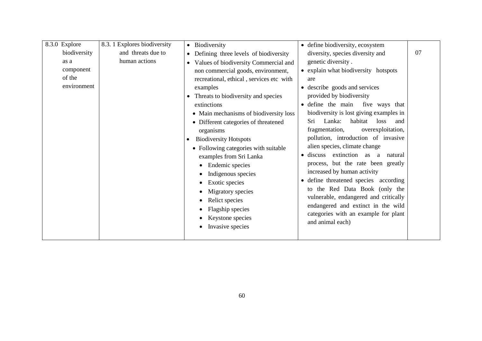| 8.3.0 Explore | 8.3.1 Explores biodiversity | Biodiversity                                       | • define biodiversity, ecosystem                   |    |
|---------------|-----------------------------|----------------------------------------------------|----------------------------------------------------|----|
| biodiversity  | and threats due to          | Defining three levels of biodiversity<br>$\bullet$ | diversity, species diversity and                   | 07 |
| as a          | human actions               | Values of biodiversity Commercial and<br>$\bullet$ | genetic diversity.                                 |    |
| component     |                             | non commercial goods, environment,                 | • explain what biodiversity hotspots               |    |
| of the        |                             | recreational, ethical, services etc with           | are                                                |    |
| environment   |                             | examples                                           | • describe goods and services                      |    |
|               |                             | Threats to biodiversity and species                | provided by biodiversity                           |    |
|               |                             | extinctions                                        | define the main<br>five ways that<br>$\bullet$     |    |
|               |                             | • Main mechanisms of biodiversity loss             | biodiversity is lost giving examples in            |    |
|               |                             | • Different categories of threatened               | Lanka:<br>Sri<br>habitat<br>loss<br>and            |    |
|               |                             | organisms                                          | overexploitation,<br>fragmentation,                |    |
|               |                             | <b>Biodiversity Hotspots</b><br>$\bullet$          | pollution, introduction of invasive                |    |
|               |                             | • Following categories with suitable               | alien species, climate change                      |    |
|               |                             | examples from Sri Lanka                            | discuss extinction as<br>a<br>natural<br>$\bullet$ |    |
|               |                             | Endemic species                                    | process, but the rate been greatly                 |    |
|               |                             | Indigenous species                                 | increased by human activity                        |    |
|               |                             | Exotic species                                     | define threatened species according<br>$\bullet$   |    |
|               |                             | Migratory species                                  | to the Red Data Book (only the                     |    |
|               |                             | Relict species                                     | vulnerable, endangered and critically              |    |
|               |                             | Flagship species                                   | endangered and extinct in the wild                 |    |
|               |                             | Keystone species                                   | categories with an example for plant               |    |
|               |                             | Invasive species                                   | and animal each)                                   |    |
|               |                             |                                                    |                                                    |    |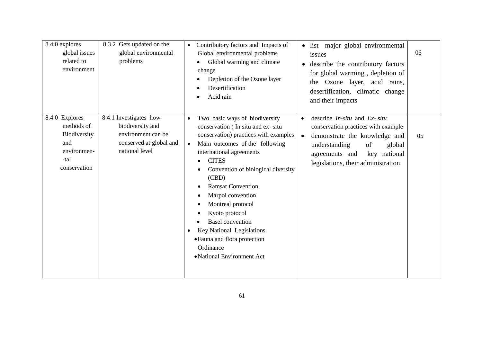| 8.4.0 explores<br>global issues<br>related to<br>environment                               | 8.3.2 Gets updated on the<br>global environmental<br>problems                                                 | Contributory factors and Impacts of<br>Global environmental problems<br>Global warming and climate<br>change<br>Depletion of the Ozone layer<br>Desertification<br>Acid rain                                                                                                                                                                                                                                                                                                                                | · list major global environmental<br>issues<br>describe the contributory factors<br>$\bullet$<br>for global warming, depletion of<br>the Ozone layer, acid rains,<br>desertification, climatic change<br>and their impacts                  | 06 |
|--------------------------------------------------------------------------------------------|---------------------------------------------------------------------------------------------------------------|-------------------------------------------------------------------------------------------------------------------------------------------------------------------------------------------------------------------------------------------------------------------------------------------------------------------------------------------------------------------------------------------------------------------------------------------------------------------------------------------------------------|---------------------------------------------------------------------------------------------------------------------------------------------------------------------------------------------------------------------------------------------|----|
| 8.4.0 Explores<br>methods of<br>Biodiversity<br>and<br>environmen-<br>-tal<br>conservation | 8.4.1 Investigates how<br>biodiversity and<br>environment can be<br>conserved at global and<br>national level | Two basic ways of biodiversity<br>$\bullet$<br>conservation (In situ and ex-situ<br>conservation) practices with examples<br>Main outcomes of the following<br>$\bullet$<br>international agreements<br><b>CITES</b><br>Convention of biological diversity<br>(CBD)<br><b>Ramsar Convention</b><br>Marpol convention<br>Montreal protocol<br>Kyoto protocol<br><b>Basel</b> convention<br>Key National Legislations<br>$\bullet$<br>• Fauna and flora protection<br>Ordinance<br>• National Environment Act | describe $In-situ$ and $Ex-situ$<br>$\bullet$<br>conservation practices with example<br>demonstrate the knowledge and<br>$\bullet$<br>understanding<br>of<br>global<br>key national<br>agreements and<br>legislations, their administration | 05 |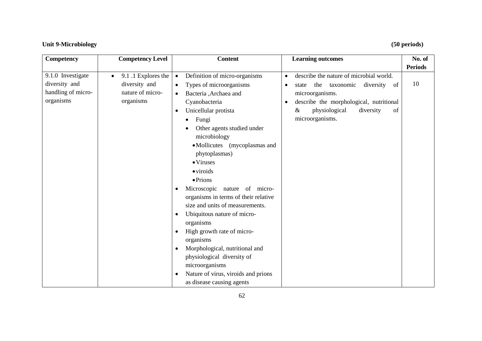## **Unit 9-Microbiology (50 periods)**

| Competency         | <b>Competency Level</b>         | <b>Content</b>                                   | <b>Learning outcomes</b>                             | No. of         |
|--------------------|---------------------------------|--------------------------------------------------|------------------------------------------------------|----------------|
|                    |                                 |                                                  |                                                      | <b>Periods</b> |
| 9.1.0 Investigate  | 9.1.1 Explores the<br>$\bullet$ | Definition of micro-organisms<br>$\bullet$       | describe the nature of microbial world.<br>$\bullet$ |                |
| diversity and      | diversity and                   | Types of microorganisms<br>$\bullet$             | the<br>taxonomic<br>diversity<br>of<br>state<br>٠    | 10             |
| handling of micro- | nature of micro-                | Bacteria ,Archaea and<br>$\bullet$               | microorganisms.                                      |                |
| organisms          | organisms                       | Cyanobacteria                                    | describe the morphological, nutritional<br>$\bullet$ |                |
|                    |                                 | Unicellular protista<br>$\bullet$                | physiological<br>diversity<br>&<br>of                |                |
|                    |                                 | Fungi<br>$\bullet$                               | microorganisms.                                      |                |
|                    |                                 | Other agents studied under                       |                                                      |                |
|                    |                                 | microbiology                                     |                                                      |                |
|                    |                                 | • Mollicutes (mycoplasmas and                    |                                                      |                |
|                    |                                 | phytoplasmas)                                    |                                                      |                |
|                    |                                 | $\bullet$ Viruses                                |                                                      |                |
|                    |                                 | $\bullet$ viroids                                |                                                      |                |
|                    |                                 | $\bullet$ Prions                                 |                                                      |                |
|                    |                                 | Microscopic nature of micro-<br>$\bullet$        |                                                      |                |
|                    |                                 | organisms in terms of their relative             |                                                      |                |
|                    |                                 | size and units of measurements.                  |                                                      |                |
|                    |                                 | Ubiquitous nature of micro-<br>$\bullet$         |                                                      |                |
|                    |                                 | organisms                                        |                                                      |                |
|                    |                                 | High growth rate of micro-<br>$\bullet$          |                                                      |                |
|                    |                                 | organisms                                        |                                                      |                |
|                    |                                 | Morphological, nutritional and<br>$\bullet$      |                                                      |                |
|                    |                                 | physiological diversity of                       |                                                      |                |
|                    |                                 | microorganisms                                   |                                                      |                |
|                    |                                 | Nature of virus, viroids and prions<br>$\bullet$ |                                                      |                |
|                    |                                 |                                                  |                                                      |                |
|                    |                                 | as disease causing agents                        |                                                      |                |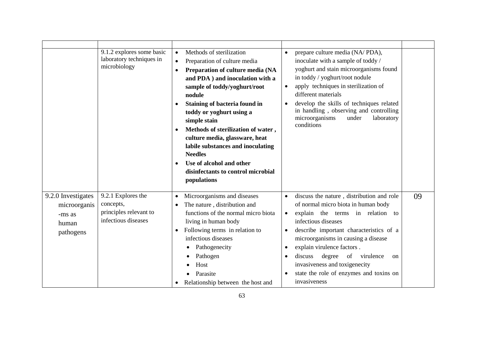|                                                                    | 9.1.2 explores some basic<br>laboratory techniques in<br>microbiology            | Methods of sterilization<br>$\bullet$<br>Preparation of culture media<br>$\bullet$<br>Preparation of culture media (NA<br>$\bullet$<br>and PDA ) and inoculation with a<br>sample of toddy/yoghurt/root<br>nodule<br>Staining of bacteria found in<br>$\bullet$<br>toddy or yoghurt using a<br>simple stain<br>Methods of sterilization of water,<br>$\bullet$<br>culture media, glassware, heat<br>labile substances and inoculating<br><b>Needles</b><br>Use of alcohol and other<br>$\bullet$<br>disinfectants to control microbial<br>populations | prepare culture media (NA/PDA),<br>$\bullet$<br>inoculate with a sample of toddy /<br>yoghurt and stain microorganisms found<br>in toddy / yoghurt/root nodule<br>apply techniques in sterilization of<br>$\bullet$<br>different materials<br>develop the skills of techniques related<br>$\bullet$<br>in handling, observing and controlling<br>microorganisms<br>laboratory<br>under<br>conditions                                                                                                 |
|--------------------------------------------------------------------|----------------------------------------------------------------------------------|-------------------------------------------------------------------------------------------------------------------------------------------------------------------------------------------------------------------------------------------------------------------------------------------------------------------------------------------------------------------------------------------------------------------------------------------------------------------------------------------------------------------------------------------------------|------------------------------------------------------------------------------------------------------------------------------------------------------------------------------------------------------------------------------------------------------------------------------------------------------------------------------------------------------------------------------------------------------------------------------------------------------------------------------------------------------|
| 9.2.0 Investigates<br>microorganis<br>-ms as<br>human<br>pathogens | 9.2.1 Explores the<br>concepts,<br>principles relevant to<br>infectious diseases | Microorganisms and diseases<br>$\bullet$<br>The nature, distribution and<br>$\bullet$<br>functions of the normal micro biota<br>living in human body<br>Following terms in relation to<br>$\bullet$<br>infectious diseases<br>Pathogenecity<br>Pathogen<br>Host<br>Parasite<br>Relationship between the host and                                                                                                                                                                                                                                      | discuss the nature, distribution and role<br>09<br>$\bullet$<br>of normal micro biota in human body<br>explain the terms in relation to<br>$\bullet$<br>infectious diseases<br>describe important characteristics of a<br>$\bullet$<br>microorganisms in causing a disease<br>explain virulence factors.<br>$\bullet$<br>degree<br>discuss<br>of<br>virulence<br>$\bullet$<br><sub>on</sub><br>invasiveness and toxigenecity<br>state the role of enzymes and toxins on<br>$\bullet$<br>invasiveness |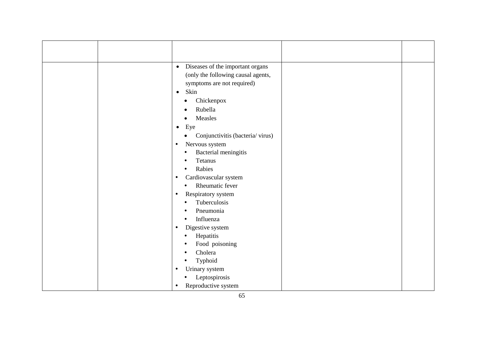| Diseases of the important organs<br>$\bullet$<br>(only the following causal agents,<br>symptoms are not required)<br>Skin<br>$\bullet$<br>Chickenpox<br>$\bullet$<br>Rubella<br>Measles<br>Eye<br>$\bullet$<br>Conjunctivitis (bacteria/virus)<br>$\bullet$<br>Nervous system<br>$\bullet$<br>Bacterial meningitis<br>$\bullet$<br><b>Tetanus</b><br>$\bullet$<br>Rabies<br>$\bullet$<br>Cardiovascular system<br>$\bullet$<br>Rheumatic fever<br>$\bullet$<br>Respiratory system<br>$\bullet$<br>Tuberculosis<br>$\bullet$<br>Pneumonia<br>Influenza<br>٠<br>Digestive system<br>$\bullet$<br>Hepatitis<br>$\bullet$<br>Food poisoning<br>٠<br>Cholera<br>Typhoid<br>$\bullet$ |  |
|---------------------------------------------------------------------------------------------------------------------------------------------------------------------------------------------------------------------------------------------------------------------------------------------------------------------------------------------------------------------------------------------------------------------------------------------------------------------------------------------------------------------------------------------------------------------------------------------------------------------------------------------------------------------------------|--|
| Urinary system<br>$\bullet$                                                                                                                                                                                                                                                                                                                                                                                                                                                                                                                                                                                                                                                     |  |
| Leptospirosis<br>$\bullet$                                                                                                                                                                                                                                                                                                                                                                                                                                                                                                                                                                                                                                                      |  |
| Reproductive system<br>$\bullet$                                                                                                                                                                                                                                                                                                                                                                                                                                                                                                                                                                                                                                                |  |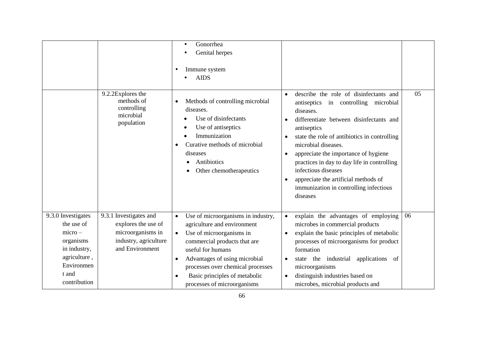|                                                                                                                                  |                                                                                                                                          | Gonorrhea<br>$\bullet$<br>Genital herpes<br>Immune system<br><b>AIDS</b>                                                                                                                                                                                                                 |                                                                                                                                                                                                                                                                                                                                                                                                                                                                                              |    |
|----------------------------------------------------------------------------------------------------------------------------------|------------------------------------------------------------------------------------------------------------------------------------------|------------------------------------------------------------------------------------------------------------------------------------------------------------------------------------------------------------------------------------------------------------------------------------------|----------------------------------------------------------------------------------------------------------------------------------------------------------------------------------------------------------------------------------------------------------------------------------------------------------------------------------------------------------------------------------------------------------------------------------------------------------------------------------------------|----|
|                                                                                                                                  | 9.2.2Explores the<br>methods of<br>$\bullet$<br>controlling<br>microbial<br>population<br>$\bullet$                                      | Methods of controlling microbial<br>diseases.<br>Use of disinfectants<br>Use of antiseptics<br>٠<br>Immunization<br>Curative methods of microbial<br>diseases<br>Antibiotics<br>Other chemotherapeutics                                                                                  | describe the role of disinfectants and<br>$\bullet$<br>antiseptics in controlling microbial<br>diseases.<br>differentiate between disinfectants and<br>$\bullet$<br>antiseptics<br>state the role of antibiotics in controlling<br>microbial diseases.<br>appreciate the importance of hygiene<br>$\bullet$<br>practices in day to day life in controlling<br>infectious diseases<br>appreciate the artificial methods of<br>$\bullet$<br>immunization in controlling infectious<br>diseases | 05 |
| 9.3.0 Investigates<br>the use of<br>$micro-$<br>organisms<br>in industry,<br>agriculture,<br>Environmen<br>t and<br>contribution | 9.3.1 Investigates and<br>explores the use of<br>microorganisms in<br>$\bullet$<br>industry, agriculture<br>and Environment<br>$\bullet$ | Use of microorganisms in industry,<br>agriculture and environment<br>Use of microorganisms in<br>commercial products that are<br>useful for humans<br>Advantages of using microbial<br>processes over chemical processes<br>Basic principles of metabolic<br>processes of microorganisms | explain the advantages of employing<br>$\bullet$<br>microbes in commercial products<br>explain the basic principles of metabolic<br>$\bullet$<br>processes of microorganisms for product<br>formation<br>state the industrial applications<br>of<br>$\bullet$<br>microorganisms<br>distinguish industries based on<br>$\bullet$<br>microbes, microbial products and                                                                                                                          | 06 |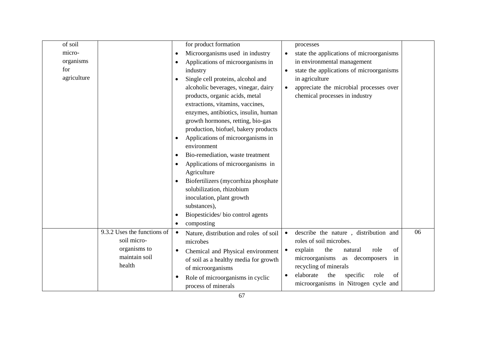| of soil     |                             | for product formation                               |           | processes                                  |    |
|-------------|-----------------------------|-----------------------------------------------------|-----------|--------------------------------------------|----|
| micro-      |                             | Microorganisms used in industry<br>$\bullet$        | $\bullet$ | state the applications of microorganisms   |    |
| organisms   |                             | Applications of microorganisms in                   |           | in environmental management                |    |
| for         |                             | industry                                            | $\bullet$ | state the applications of microorganisms   |    |
| agriculture |                             | Single cell proteins, alcohol and                   |           | in agriculture                             |    |
|             |                             | alcoholic beverages, vinegar, dairy                 | $\bullet$ | appreciate the microbial processes over    |    |
|             |                             | products, organic acids, metal                      |           | chemical processes in industry             |    |
|             |                             | extractions, vitamins, vaccines,                    |           |                                            |    |
|             |                             | enzymes, antibiotics, insulin, human                |           |                                            |    |
|             |                             | growth hormones, retting, bio-gas                   |           |                                            |    |
|             |                             | production, biofuel, bakery products                |           |                                            |    |
|             |                             | Applications of microorganisms in<br>$\bullet$      |           |                                            |    |
|             |                             | environment                                         |           |                                            |    |
|             |                             | Bio-remediation, waste treatment                    |           |                                            |    |
|             |                             | Applications of microorganisms in                   |           |                                            |    |
|             |                             | Agriculture                                         |           |                                            |    |
|             |                             | Biofertilizers (mycorrhiza phosphate)               |           |                                            |    |
|             |                             | solubilization, rhizobium                           |           |                                            |    |
|             |                             | inoculation, plant growth                           |           |                                            |    |
|             |                             | substances),                                        |           |                                            |    |
|             |                             | Biopesticides/bio control agents                    |           |                                            |    |
|             |                             | composting                                          |           |                                            |    |
|             | 9.3.2 Uses the functions of | Nature, distribution and roles of soil<br>$\bullet$ | $\bullet$ | describe the nature, distribution and      | 06 |
|             | soil micro-                 | microbes                                            |           | roles of soil microbes.                    |    |
|             | organisms to                | Chemical and Physical environment                   | $\bullet$ | explain<br>the<br>role<br>natural<br>of    |    |
|             | maintain soil               | of soil as a healthy media for growth               |           | microorganisms<br>as decomposers<br>in     |    |
|             | health                      | of microorganisms                                   |           | recycling of minerals                      |    |
|             |                             | Role of microorganisms in cyclic                    | $\bullet$ | elaborate<br>the<br>specific<br>role<br>of |    |
|             |                             | process of minerals                                 |           | microorganisms in Nitrogen cycle and       |    |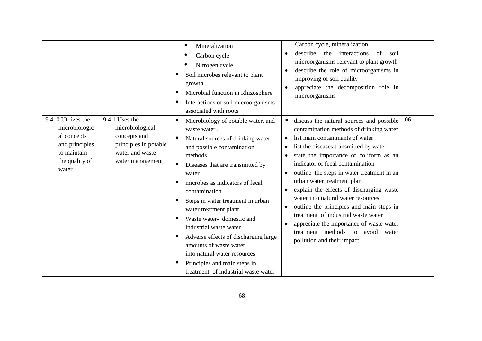|                                                                                                                |                                                                                                                   | Mineralization<br>Carbon cycle<br>Nitrogen cycle<br>Soil microbes relevant to plant<br>growth<br>Microbial function in Rhizosphere<br>$\bullet$<br>Interactions of soil microorganisms<br>associated with roots                                                                                                                                                                                                                                                                                                                                | Carbon cycle, mineralization<br>describe<br>interactions<br>the<br>of<br>soil<br>microorganisms relevant to plant growth<br>describe the role of microorganisms in<br>improving of soil quality<br>appreciate the decomposition role in<br>$\bullet$<br>microorganisms                                                                                                                                                                                                                                                                                                                                               |  |
|----------------------------------------------------------------------------------------------------------------|-------------------------------------------------------------------------------------------------------------------|------------------------------------------------------------------------------------------------------------------------------------------------------------------------------------------------------------------------------------------------------------------------------------------------------------------------------------------------------------------------------------------------------------------------------------------------------------------------------------------------------------------------------------------------|----------------------------------------------------------------------------------------------------------------------------------------------------------------------------------------------------------------------------------------------------------------------------------------------------------------------------------------------------------------------------------------------------------------------------------------------------------------------------------------------------------------------------------------------------------------------------------------------------------------------|--|
| 9.4.0 Utilizes the<br>microbiologic<br>al concepts<br>and principles<br>to maintain<br>the quality of<br>water | 9.4.1 Uses the<br>microbiological<br>concepts and<br>principles in potable<br>water and waste<br>water management | Microbiology of potable water, and<br>waste water.<br>Natural sources of drinking water<br>and possible contamination<br>methods.<br>Diseases that are transmitted by<br>$\bullet$<br>water.<br>microbes as indicators of fecal<br>contamination.<br>Steps in water treatment in urban<br>water treatment plant<br>Waste water-domestic and<br>industrial waste water<br>Adverse effects of discharging large<br>amounts of waste water<br>into natural water resources<br>Principles and main steps in<br>treatment of industrial waste water | 06<br>discuss the natural sources and possible<br>contamination methods of drinking water<br>list main contaminants of water<br>list the diseases transmitted by water<br>state the importance of coliform as an<br>indicator of fecal contamination<br>outline the steps in water treatment in an<br>urban water treatment plant<br>explain the effects of discharging waste<br>water into natural water resources<br>outline the principles and main steps in<br>treatment of industrial waste water<br>appreciate the importance of waste water<br>treatment methods to avoid water<br>pollution and their impact |  |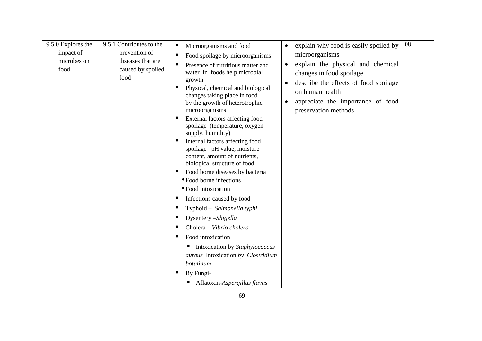| 9.5.0 Explores the<br>impact of<br>microbes on<br>food | 9.5.1 Contributes to the<br>prevention of<br>diseases that are<br>caused by spoiled<br>food | Microorganisms and food<br>Food spoilage by microorganisms<br>$\bullet$<br>Presence of nutritious matter and<br>water in foods help microbial<br>growth<br>Physical, chemical and biological<br>changes taking place in food<br>by the growth of heterotrophic<br>microorganisms<br>External factors affecting food<br>spoilage (temperature, oxygen<br>supply, humidity)<br>Internal factors affecting food<br>$\bullet$<br>spoilage -pH value, moisture<br>content, amount of nutrients,<br>biological structure of food<br>Food borne diseases by bacteria<br>• Food borne infections<br>• Food intoxication<br>Infections caused by food<br>Typhoid - Salmonella typhi<br>Dysentery -Shigella<br>Cholera - Vibrio cholera<br>Food intoxication<br>Intoxication by Staphylococcus<br>aureus Intoxication by Clostridium<br>botulinum<br>By Fungi-<br>Aflatoxin-Aspergillus flavus | explain why food is easily spoiled by<br>$\bullet$<br>microorganisms<br>explain the physical and chemical<br>$\bullet$<br>changes in food spoilage<br>describe the effects of food spoilage<br>$\bullet$<br>on human health<br>appreciate the importance of food<br>$\bullet$<br>preservation methods | 08 |
|--------------------------------------------------------|---------------------------------------------------------------------------------------------|--------------------------------------------------------------------------------------------------------------------------------------------------------------------------------------------------------------------------------------------------------------------------------------------------------------------------------------------------------------------------------------------------------------------------------------------------------------------------------------------------------------------------------------------------------------------------------------------------------------------------------------------------------------------------------------------------------------------------------------------------------------------------------------------------------------------------------------------------------------------------------------|-------------------------------------------------------------------------------------------------------------------------------------------------------------------------------------------------------------------------------------------------------------------------------------------------------|----|
|--------------------------------------------------------|---------------------------------------------------------------------------------------------|--------------------------------------------------------------------------------------------------------------------------------------------------------------------------------------------------------------------------------------------------------------------------------------------------------------------------------------------------------------------------------------------------------------------------------------------------------------------------------------------------------------------------------------------------------------------------------------------------------------------------------------------------------------------------------------------------------------------------------------------------------------------------------------------------------------------------------------------------------------------------------------|-------------------------------------------------------------------------------------------------------------------------------------------------------------------------------------------------------------------------------------------------------------------------------------------------------|----|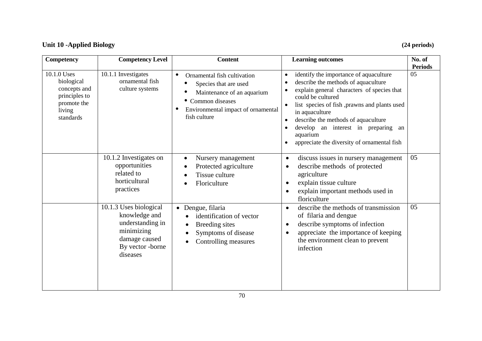## **Unit 10 -Applied Biology (24 periods)**

| <b>Competency</b>                                                                                | <b>Competency Level</b>                                                                                                    | <b>Content</b>                                                                                                                                                                          | <b>Learning outcomes</b>                                                                                                                                                                                                                                                                                                                                                                                           | No. of<br><b>Periods</b> |
|--------------------------------------------------------------------------------------------------|----------------------------------------------------------------------------------------------------------------------------|-----------------------------------------------------------------------------------------------------------------------------------------------------------------------------------------|--------------------------------------------------------------------------------------------------------------------------------------------------------------------------------------------------------------------------------------------------------------------------------------------------------------------------------------------------------------------------------------------------------------------|--------------------------|
| 10.1.0 Uses<br>biological<br>concepts and<br>principles to<br>promote the<br>living<br>standards | 10.1.1 Investigates<br>ornamental fish<br>culture systems                                                                  | $\bullet$<br>Ornamental fish cultivation<br>Species that are used<br>Maintenance of an aquarium<br>• Common diseases<br>Environmental impact of ornamental<br>$\bullet$<br>fish culture | identify the importance of aquaculture<br>$\bullet$<br>describe the methods of aquaculture<br>$\bullet$<br>explain general characters of species that<br>$\bullet$<br>could be cultured<br>list species of fish, prawns and plants used<br>in aquaculture<br>describe the methods of aquaculture<br>develop an interest in preparing<br>$\bullet$<br>an<br>aquarium<br>appreciate the diversity of ornamental fish | 05                       |
|                                                                                                  | 10.1.2 Investigates on<br>opportunities<br>related to<br>horticultural<br>practices                                        | Nursery management<br>Protected agriculture<br>Tissue culture<br>Floriculture                                                                                                           | discuss issues in nursery management<br>$\bullet$<br>describe methods of protected<br>$\bullet$<br>agriculture<br>explain tissue culture<br>$\bullet$<br>explain important methods used in<br>$\bullet$<br>floriculture                                                                                                                                                                                            | 05                       |
|                                                                                                  | 10.1.3 Uses biological<br>knowledge and<br>understanding in<br>minimizing<br>damage caused<br>By vector -borne<br>diseases | • Dengue, filaria<br>identification of vector<br>Breeding sites<br>Symptoms of disease<br>Controlling measures                                                                          | describe the methods of transmission<br>$\bullet$<br>of filaria and dengue<br>describe symptoms of infection<br>$\bullet$<br>appreciate the importance of keeping<br>$\bullet$<br>the environment clean to prevent<br>infection                                                                                                                                                                                    | 05                       |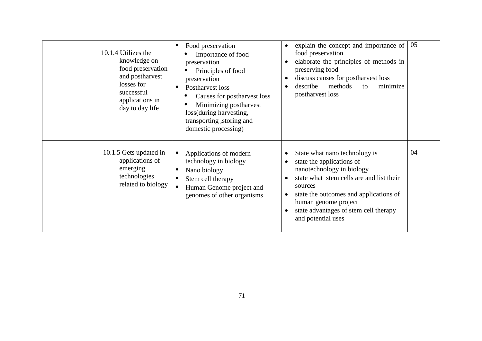| 10.1.4 Utilizes the<br>knowledge on<br>food preservation<br>and postharvest<br>losses for<br>successful<br>applications in<br>day to day life | Food preservation<br>$\bullet$<br>Importance of food<br>preservation<br>Principles of food<br>preservation<br>Postharvest loss<br>$\bullet$<br>Causes for postharvest loss<br>Minimizing postharvest<br>loss(during harvesting,<br>transporting, storing and<br>domestic processing) | explain the concept and importance of<br>food preservation<br>elaborate the principles of methods in<br>preserving food<br>discuss causes for postharvest loss<br>methods<br>describe<br>minimize<br>to<br>postharvest loss                                                     | 05 |
|-----------------------------------------------------------------------------------------------------------------------------------------------|--------------------------------------------------------------------------------------------------------------------------------------------------------------------------------------------------------------------------------------------------------------------------------------|---------------------------------------------------------------------------------------------------------------------------------------------------------------------------------------------------------------------------------------------------------------------------------|----|
| 10.1.5 Gets updated in<br>applications of<br>emerging<br>technologies<br>related to biology                                                   | Applications of modern<br>$\bullet$<br>technology in biology<br>Nano biology<br>$\bullet$<br>Stem cell therapy<br>Human Genome project and<br>genomes of other organisms                                                                                                             | State what nano technology is<br>state the applications of<br>nanotechnology in biology<br>state what stem cells are and list their<br>sources<br>state the outcomes and applications of<br>human genome project<br>state advantages of stem cell therapy<br>and potential uses | 04 |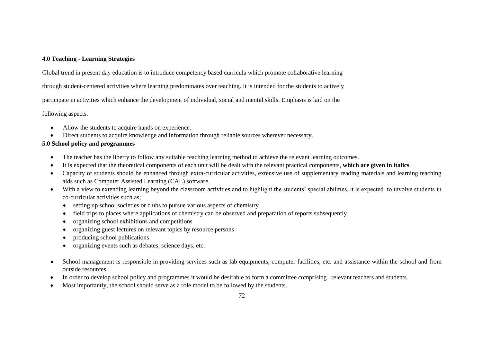## **4.0 Teaching - Learning Strategies**

Global trend in present day education is to introduce competency based curricula which promote collaborative learning

through student-centered activities where learning predominates over teaching. It is intended for the students to actively

participate in activities which enhance the development of individual, social and mental skills. Emphasis is laid on the

following aspects.

- Allow the students to acquire hands on experience.
- Direct students to acquire knowledge and information through reliable sources wherever necessary.

## **5.0 School policy and programmes**

- The teacher has the liberty to follow any suitable teaching learning method to achieve the relevant learning outcomes.
- It is expected that the theoretical components of each unit will be dealt with the relevant practical components, **which are given in italics**.
- Capacity of students should be enhanced through extra-curricular activities, extensive use of supplementary reading materials and learning teaching aids such as Computer Assisted Learning (CAL) software.
- With a view to extending learning beyond the classroom activities and to highlight the students' special abilities, it is expected to involve students in co-curricular activities such as;
	- setting up school societies or clubs to pursue various aspects of chemistry
	- field trips to places where applications of chemistry can be observed and preparation of reports subsequently
	- organizing school exhibitions and competitions
	- organizing guest lectures on relevant topics by resource persons
	- producing school publications
	- organizing events such as debates, science days, etc.
- School management is responsible in providing services such as lab equipments, computer facilities, etc. and assistance within the school and from outside resources.
- In order to develop school policy and programmes it would be desirable to form a committee comprising relevant teachers and students.
- Most importantly, the school should serve as a role model to be followed by the students.